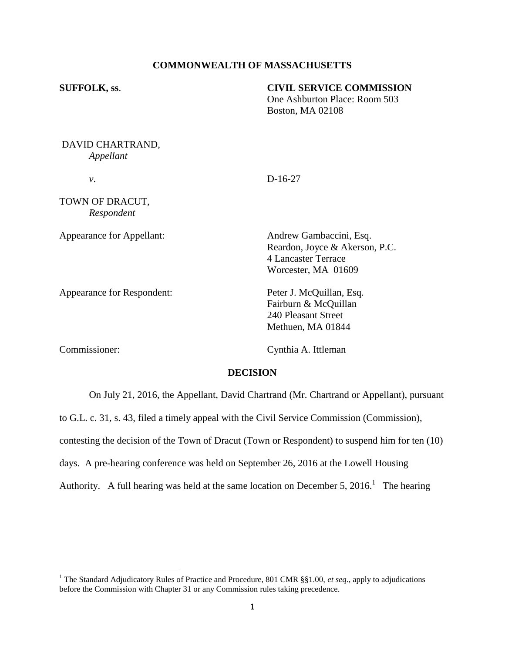# **COMMONWEALTH OF MASSACHUSETTS**

| <b>SUFFOLK, ss.</b>           | <b>CIVIL SERVICE COMMISSION</b><br>One Ashburton Place: Room 503<br><b>Boston, MA 02108</b>                    |
|-------------------------------|----------------------------------------------------------------------------------------------------------------|
| DAVID CHARTRAND,<br>Appellant |                                                                                                                |
| ν.                            | $D-16-27$                                                                                                      |
| TOWN OF DRACUT,<br>Respondent |                                                                                                                |
| Appearance for Appellant:     | Andrew Gambaccini, Esq.<br>Reardon, Joyce & Akerson, P.C.<br><b>4 Lancaster Terrace</b><br>Worcester, MA 01609 |
| Appearance for Respondent:    | Peter J. McQuillan, Esq.<br>Fairburn & McQuillan<br>240 Pleasant Street<br>Methuen, MA 01844                   |
| Commissioner:                 | Cynthia A. Ittleman                                                                                            |

# **DECISION**

On July 21, 2016, the Appellant, David Chartrand (Mr. Chartrand or Appellant), pursuant

to G.L. c. 31, s. 43, filed a timely appeal with the Civil Service Commission (Commission),

contesting the decision of the Town of Dracut (Town or Respondent) to suspend him for ten (10)

days. A pre-hearing conference was held on September 26, 2016 at the Lowell Housing

Authority. A full hearing was held at the same location on December 5, 2016.<sup>1</sup> The hearing

 $\overline{\phantom{a}}$ 

<sup>&</sup>lt;sup>1</sup> The Standard Adjudicatory Rules of Practice and Procedure, 801 CMR §§1.00, *et seq.*, apply to adjudications before the Commission with Chapter 31 or any Commission rules taking precedence.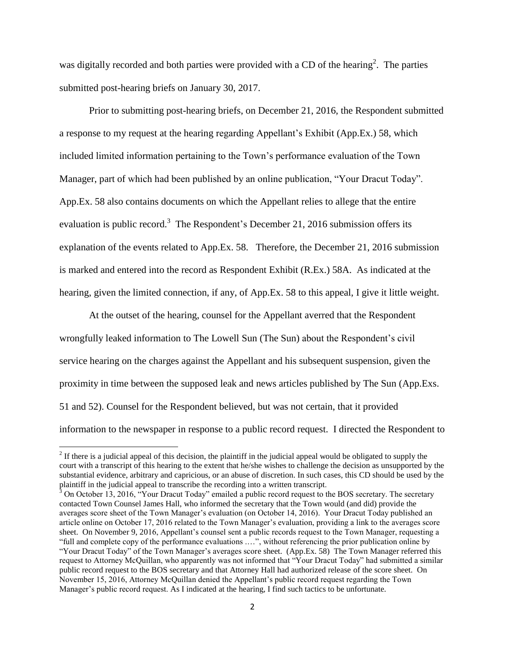was digitally recorded and both parties were provided with a CD of the hearing<sup>2</sup>. The parties submitted post-hearing briefs on January 30, 2017.

Prior to submitting post-hearing briefs, on December 21, 2016, the Respondent submitted a response to my request at the hearing regarding Appellant's Exhibit (App.Ex.) 58, which included limited information pertaining to the Town's performance evaluation of the Town Manager, part of which had been published by an online publication, "Your Dracut Today". App.Ex. 58 also contains documents on which the Appellant relies to allege that the entire evaluation is public record.<sup>3</sup> The Respondent's December 21, 2016 submission offers its explanation of the events related to App.Ex. 58. Therefore, the December 21, 2016 submission is marked and entered into the record as Respondent Exhibit (R.Ex.) 58A. As indicated at the hearing, given the limited connection, if any, of App.Ex. 58 to this appeal, I give it little weight.

At the outset of the hearing, counsel for the Appellant averred that the Respondent wrongfully leaked information to The Lowell Sun (The Sun) about the Respondent's civil service hearing on the charges against the Appellant and his subsequent suspension, given the proximity in time between the supposed leak and news articles published by The Sun (App.Exs. 51 and 52). Counsel for the Respondent believed, but was not certain, that it provided information to the newspaper in response to a public record request. I directed the Respondent to

l

 $2<sup>2</sup>$  If there is a judicial appeal of this decision, the plaintiff in the judicial appeal would be obligated to supply the court with a transcript of this hearing to the extent that he/she wishes to challenge the decision as unsupported by the substantial evidence, arbitrary and capricious, or an abuse of discretion. In such cases, this CD should be used by the plaintiff in the judicial appeal to transcribe the recording into a written transcript.

 $3$  On October 13, 2016, "Your Dracut Today" emailed a public record request to the BOS secretary. The secretary contacted Town Counsel James Hall, who informed the secretary that the Town would (and did) provide the averages score sheet of the Town Manager's evaluation (on October 14, 2016). Your Dracut Today published an article online on October 17, 2016 related to the Town Manager's evaluation, providing a link to the averages score sheet. On November 9, 2016, Appellant's counsel sent a public records request to the Town Manager, requesting a "full and complete copy of the performance evaluations .…", without referencing the prior publication online by "Your Dracut Today" of the Town Manager's averages score sheet. (App.Ex. 58) The Town Manager referred this request to Attorney McQuillan, who apparently was not informed that "Your Dracut Today" had submitted a similar public record request to the BOS secretary and that Attorney Hall had authorized release of the score sheet. On November 15, 2016, Attorney McQuillan denied the Appellant's public record request regarding the Town Manager's public record request. As I indicated at the hearing, I find such tactics to be unfortunate.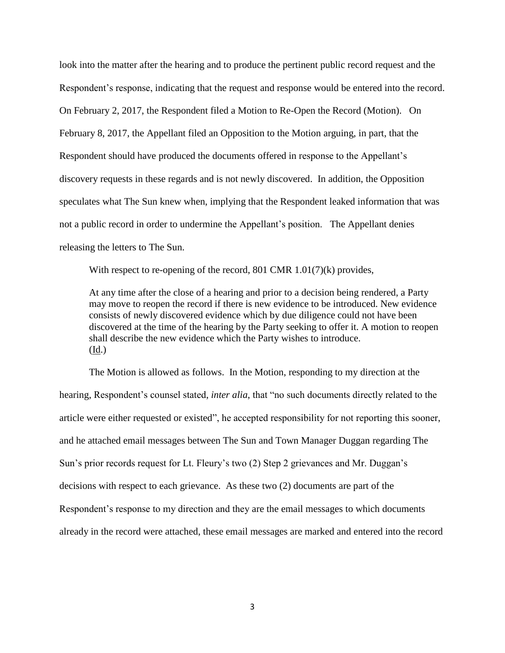look into the matter after the hearing and to produce the pertinent public record request and the Respondent's response, indicating that the request and response would be entered into the record. On February 2, 2017, the Respondent filed a Motion to Re-Open the Record (Motion). On February 8, 2017, the Appellant filed an Opposition to the Motion arguing, in part, that the Respondent should have produced the documents offered in response to the Appellant's discovery requests in these regards and is not newly discovered. In addition, the Opposition speculates what The Sun knew when, implying that the Respondent leaked information that was not a public record in order to undermine the Appellant's position. The Appellant denies releasing the letters to The Sun.

With respect to re-opening of the record, 801 CMR 1.01(7)(k) provides,

At any time after the close of a hearing and prior to a decision being rendered, a Party may move to reopen the record if there is new evidence to be introduced. New evidence consists of newly discovered evidence which by due diligence could not have been discovered at the time of the hearing by the Party seeking to offer it. A motion to reopen shall describe the new evidence which the Party wishes to introduce. (Id.)

The Motion is allowed as follows. In the Motion, responding to my direction at the hearing, Respondent's counsel stated, *inter alia*, that "no such documents directly related to the article were either requested or existed", he accepted responsibility for not reporting this sooner, and he attached email messages between The Sun and Town Manager Duggan regarding The Sun's prior records request for Lt. Fleury's two (2) Step 2 grievances and Mr. Duggan's decisions with respect to each grievance. As these two (2) documents are part of the Respondent's response to my direction and they are the email messages to which documents already in the record were attached, these email messages are marked and entered into the record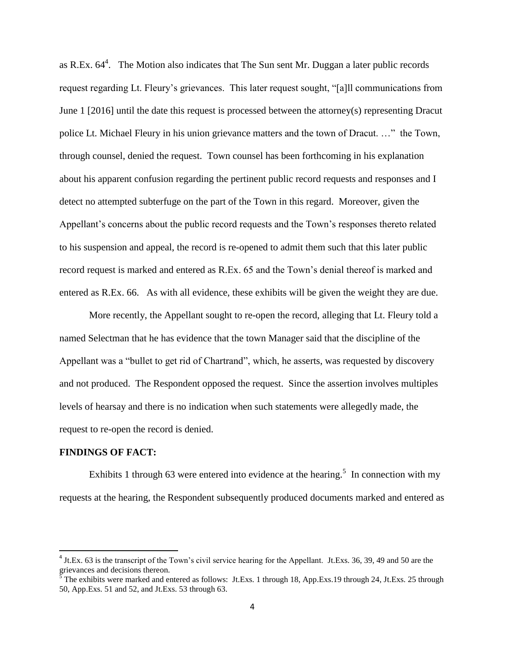as R.Ex.  $64^4$ . The Motion also indicates that The Sun sent Mr. Duggan a later public records request regarding Lt. Fleury's grievances. This later request sought, "[a]ll communications from June 1 [2016] until the date this request is processed between the attorney(s) representing Dracut police Lt. Michael Fleury in his union grievance matters and the town of Dracut. …" the Town, through counsel, denied the request. Town counsel has been forthcoming in his explanation about his apparent confusion regarding the pertinent public record requests and responses and I detect no attempted subterfuge on the part of the Town in this regard. Moreover, given the Appellant's concerns about the public record requests and the Town's responses thereto related to his suspension and appeal, the record is re-opened to admit them such that this later public record request is marked and entered as R.Ex. 65 and the Town's denial thereof is marked and entered as R.Ex. 66. As with all evidence, these exhibits will be given the weight they are due.

More recently, the Appellant sought to re-open the record, alleging that Lt. Fleury told a named Selectman that he has evidence that the town Manager said that the discipline of the Appellant was a "bullet to get rid of Chartrand", which, he asserts, was requested by discovery and not produced. The Respondent opposed the request. Since the assertion involves multiples levels of hearsay and there is no indication when such statements were allegedly made, the request to re-open the record is denied.

## **FINDINGS OF FACT:**

 $\overline{\phantom{a}}$ 

Exhibits 1 through 63 were entered into evidence at the hearing.<sup>5</sup> In connection with my requests at the hearing, the Respondent subsequently produced documents marked and entered as

 $4$  Jt.Ex. 63 is the transcript of the Town's civil service hearing for the Appellant. Jt.Exs. 36, 39, 49 and 50 are the grievances and decisions thereon.

 $\frac{5}{5}$  The exhibits were marked and entered as follows: Jt.Exs. 1 through 18, App.Exs. 19 through 24, Jt.Exs. 25 through 50, App.Exs. 51 and 52, and Jt.Exs. 53 through 63.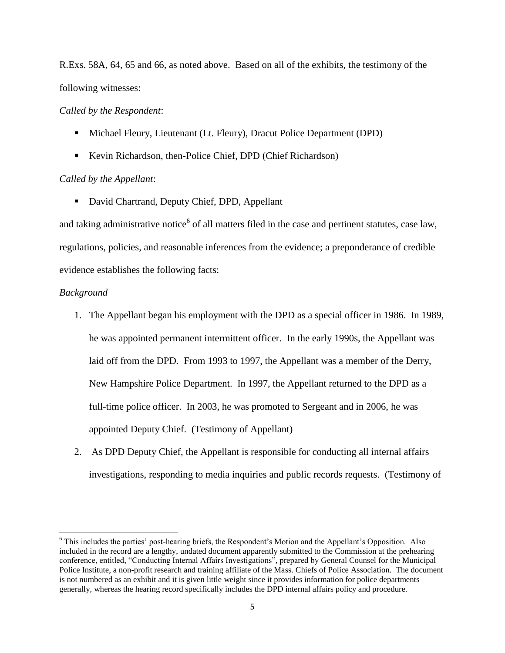R.Exs. 58A, 64, 65 and 66, as noted above. Based on all of the exhibits, the testimony of the following witnesses:

### *Called by the Respondent*:

- Michael Fleury, Lieutenant (Lt. Fleury), Dracut Police Department (DPD)
- Kevin Richardson, then-Police Chief, DPD (Chief Richardson)

## *Called by the Appellant*:

■ David Chartrand, Deputy Chief, DPD, Appellant

and taking administrative notice<sup>6</sup> of all matters filed in the case and pertinent statutes, case law, regulations, policies, and reasonable inferences from the evidence; a preponderance of credible evidence establishes the following facts:

### *Background*

l

- 1. The Appellant began his employment with the DPD as a special officer in 1986. In 1989, he was appointed permanent intermittent officer. In the early 1990s, the Appellant was laid off from the DPD. From 1993 to 1997, the Appellant was a member of the Derry, New Hampshire Police Department. In 1997, the Appellant returned to the DPD as a full-time police officer. In 2003, he was promoted to Sergeant and in 2006, he was appointed Deputy Chief. (Testimony of Appellant)
- 2. As DPD Deputy Chief, the Appellant is responsible for conducting all internal affairs investigations, responding to media inquiries and public records requests. (Testimony of

<sup>6</sup> This includes the parties' post-hearing briefs, the Respondent's Motion and the Appellant's Opposition. Also included in the record are a lengthy, undated document apparently submitted to the Commission at the prehearing conference, entitled, "Conducting Internal Affairs Investigations", prepared by General Counsel for the Municipal Police Institute, a non-profit research and training affiliate of the Mass. Chiefs of Police Association. The document is not numbered as an exhibit and it is given little weight since it provides information for police departments generally, whereas the hearing record specifically includes the DPD internal affairs policy and procedure.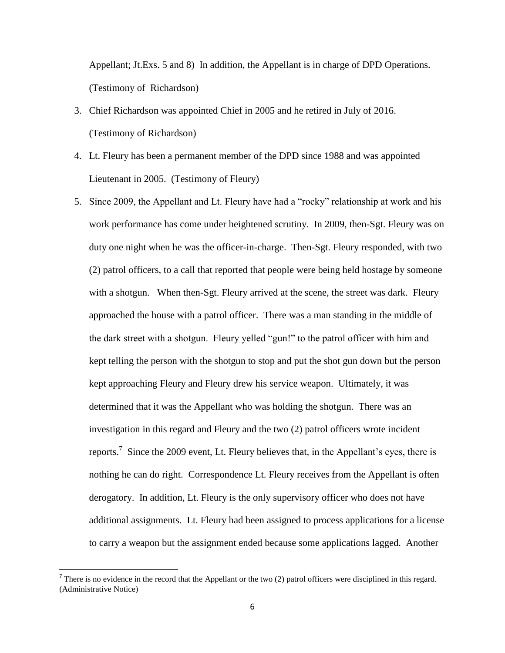Appellant; Jt.Exs. 5 and 8) In addition, the Appellant is in charge of DPD Operations. (Testimony of Richardson)

- 3. Chief Richardson was appointed Chief in 2005 and he retired in July of 2016. (Testimony of Richardson)
- 4. Lt. Fleury has been a permanent member of the DPD since 1988 and was appointed Lieutenant in 2005. (Testimony of Fleury)
- 5. Since 2009, the Appellant and Lt. Fleury have had a "rocky" relationship at work and his work performance has come under heightened scrutiny. In 2009, then-Sgt. Fleury was on duty one night when he was the officer-in-charge. Then-Sgt. Fleury responded, with two (2) patrol officers, to a call that reported that people were being held hostage by someone with a shotgun. When then-Sgt. Fleury arrived at the scene, the street was dark. Fleury approached the house with a patrol officer. There was a man standing in the middle of the dark street with a shotgun. Fleury yelled "gun!" to the patrol officer with him and kept telling the person with the shotgun to stop and put the shot gun down but the person kept approaching Fleury and Fleury drew his service weapon. Ultimately, it was determined that it was the Appellant who was holding the shotgun. There was an investigation in this regard and Fleury and the two (2) patrol officers wrote incident reports.<sup>7</sup> Since the 2009 event, Lt. Fleury believes that, in the Appellant's eyes, there is nothing he can do right. Correspondence Lt. Fleury receives from the Appellant is often derogatory. In addition, Lt. Fleury is the only supervisory officer who does not have additional assignments. Lt. Fleury had been assigned to process applications for a license to carry a weapon but the assignment ended because some applications lagged. Another

<sup>&</sup>lt;sup>7</sup> There is no evidence in the record that the Appellant or the two (2) patrol officers were disciplined in this regard. (Administrative Notice)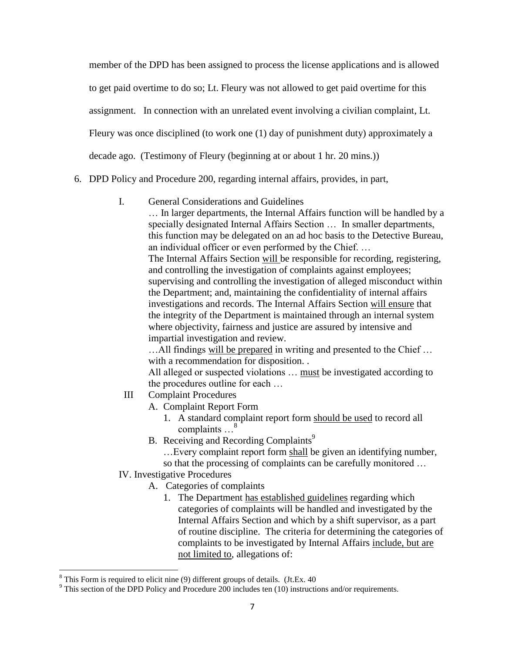member of the DPD has been assigned to process the license applications and is allowed to get paid overtime to do so; Lt. Fleury was not allowed to get paid overtime for this assignment. In connection with an unrelated event involving a civilian complaint, Lt. Fleury was once disciplined (to work one (1) day of punishment duty) approximately a decade ago. (Testimony of Fleury (beginning at or about 1 hr. 20 mins.))

- 6. DPD Policy and Procedure 200, regarding internal affairs, provides, in part,
	- I. General Considerations and Guidelines

… In larger departments, the Internal Affairs function will be handled by a specially designated Internal Affairs Section … In smaller departments, this function may be delegated on an ad hoc basis to the Detective Bureau, an individual officer or even performed by the Chief. … The Internal Affairs Section will be responsible for recording, registering, and controlling the investigation of complaints against employees; supervising and controlling the investigation of alleged misconduct within the Department; and, maintaining the confidentiality of internal affairs investigations and records. The Internal Affairs Section will ensure that the integrity of the Department is maintained through an internal system where objectivity, fairness and justice are assured by intensive and impartial investigation and review.

…All findings will be prepared in writing and presented to the Chief … with a recommendation for disposition. .

All alleged or suspected violations … must be investigated according to the procedures outline for each …

- III Complaint Procedures
	- A. Complaint Report Form
		- 1. A standard complaint report form should be used to record all complaints …<sup>8</sup>
	- B. Receiving and Recording Complaints<sup>9</sup>
		- …Every complaint report form shall be given an identifying number,

so that the processing of complaints can be carefully monitored …

- IV. Investigative Procedures
	- A. Categories of complaints
		- 1. The Department has established guidelines regarding which categories of complaints will be handled and investigated by the Internal Affairs Section and which by a shift supervisor, as a part of routine discipline. The criteria for determining the categories of complaints to be investigated by Internal Affairs include, but are not limited to, allegations of:

 $\overline{\phantom{a}}$ 

 $8$  This Form is required to elicit nine (9) different groups of details. (Jt.Ex. 40)

 $9$  This section of the DPD Policy and Procedure 200 includes ten (10) instructions and/or requirements.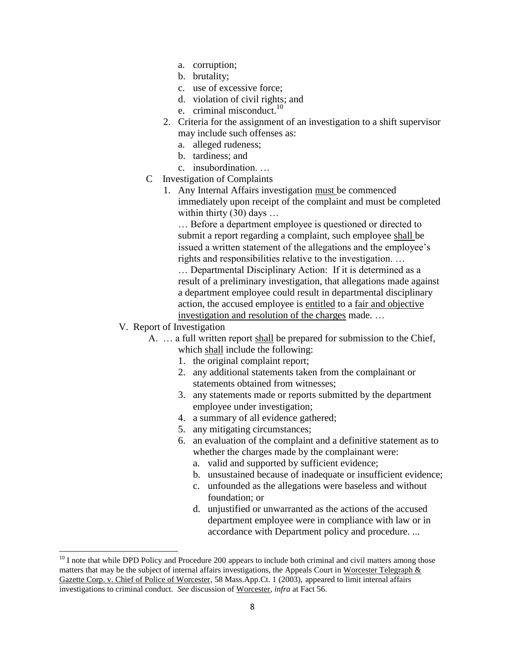- a. corruption;
- b. brutality;
- c. use of excessive force;
- d. violation of civil rights; and
- e. criminal misconduct. $10$
- 2. Criteria for the assignment of an investigation to a shift supervisor may include such offenses as:
	- a. alleged rudeness;
	- b. tardiness; and
	- c. insubordination. …
- C Investigation of Complaints
	- 1. Any Internal Affairs investigation must be commenced immediately upon receipt of the complaint and must be completed within thirty (30) days ...

… Before a department employee is questioned or directed to submit a report regarding a complaint, such employee shall be issued a written statement of the allegations and the employee's rights and responsibilities relative to the investigation. …

… Departmental Disciplinary Action: If it is determined as a result of a preliminary investigation, that allegations made against a department employee could result in departmental disciplinary action, the accused employee is entitled to a fair and objective investigation and resolution of the charges made. …

V. Report of Investigation

 $\overline{\phantom{a}}$ 

- A. … a full written report shall be prepared for submission to the Chief, which shall include the following:
	- 1. the original complaint report;
	- 2. any additional statements taken from the complainant or statements obtained from witnesses;
	- 3. any statements made or reports submitted by the department employee under investigation;
	- 4. a summary of all evidence gathered;
	- 5. any mitigating circumstances;
	- 6. an evaluation of the complaint and a definitive statement as to whether the charges made by the complainant were:
		- a. valid and supported by sufficient evidence;
		- b. unsustained because of inadequate or insufficient evidence;
		- c. unfounded as the allegations were baseless and without foundation; or
		- d. unjustified or unwarranted as the actions of the accused department employee were in compliance with law or in accordance with Department policy and procedure. ...

 $10$  I note that while DPD Policy and Procedure 200 appears to include both criminal and civil matters among those matters that may be the subject of internal affairs investigations, the Appeals Court in Worcester Telegraph & Gazette Corp. v. Chief of Police of Worcester, 58 Mass.App.Ct. 1 (2003), appeared to limit internal affairs investigations to criminal conduct. *See* discussion of Worcester, *infra* at Fact 56.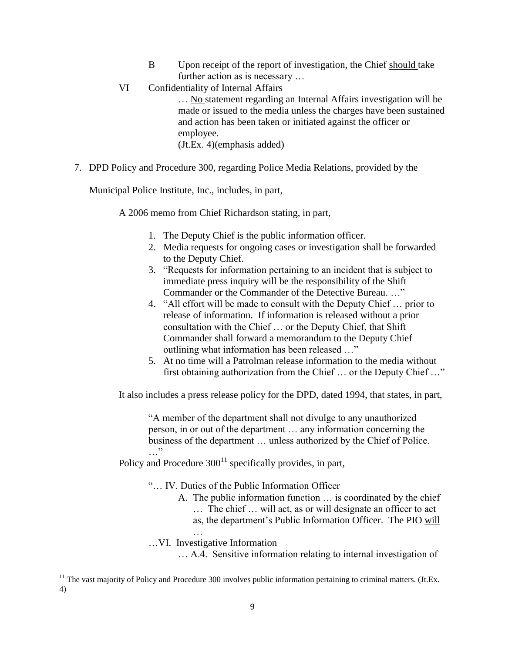- B Upon receipt of the report of investigation, the Chief should take further action as is necessary …
- VI Confidentiality of Internal Affairs … No statement regarding an Internal Affairs investigation will be made or issued to the media unless the charges have been sustained and action has been taken or initiated against the officer or employee. (Jt.Ex. 4)(emphasis added)
- 7. DPD Policy and Procedure 300, regarding Police Media Relations, provided by the

Municipal Police Institute, Inc., includes, in part,

A 2006 memo from Chief Richardson stating, in part,

- 1. The Deputy Chief is the public information officer.
- 2. Media requests for ongoing cases or investigation shall be forwarded to the Deputy Chief.
- 3. "Requests for information pertaining to an incident that is subject to immediate press inquiry will be the responsibility of the Shift Commander or the Commander of the Detective Bureau. …"
- 4. "All effort will be made to consult with the Deputy Chief … prior to release of information. If information is released without a prior consultation with the Chief … or the Deputy Chief, that Shift Commander shall forward a memorandum to the Deputy Chief outlining what information has been released …"
- 5. At no time will a Patrolman release information to the media without first obtaining authorization from the Chief … or the Deputy Chief …"

It also includes a press release policy for the DPD, dated 1994, that states, in part,

"A member of the department shall not divulge to any unauthorized person, in or out of the department … any information concerning the business of the department … unless authorized by the Chief of Police. …"

Policy and Procedure  $300^{11}$  specifically provides, in part,

"… IV. Duties of the Public Information Officer

- A. The public information function … is coordinated by the chief
	- … The chief … will act, as or will designate an officer to act
	- as, the department's Public Information Officer. The PIO will

…VI. Investigative Information

… A.4. Sensitive information relating to internal investigation of

 $\overline{\phantom{a}}$  $11$  The vast majority of Policy and Procedure 300 involves public information pertaining to criminal matters. (Jt.Ex. 4)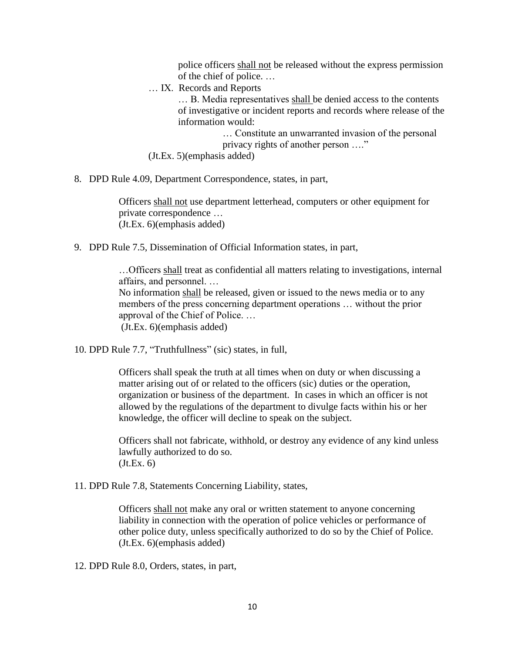police officers shall not be released without the express permission of the chief of police. …

… IX. Records and Reports

... B. Media representatives shall be denied access to the contents of investigative or incident reports and records where release of the information would:

> … Constitute an unwarranted invasion of the personal privacy rights of another person …."

(Jt.Ex. 5)(emphasis added)

8. DPD Rule 4.09, Department Correspondence, states, in part,

Officers shall not use department letterhead, computers or other equipment for private correspondence … (Jt.Ex. 6)(emphasis added)

9. DPD Rule 7.5, Dissemination of Official Information states, in part,

…Officers shall treat as confidential all matters relating to investigations, internal affairs, and personnel. …

No information shall be released, given or issued to the news media or to any members of the press concerning department operations … without the prior approval of the Chief of Police. … (Jt.Ex. 6)(emphasis added)

10. DPD Rule 7.7, "Truthfullness" (sic) states, in full,

Officers shall speak the truth at all times when on duty or when discussing a matter arising out of or related to the officers (sic) duties or the operation, organization or business of the department. In cases in which an officer is not allowed by the regulations of the department to divulge facts within his or her knowledge, the officer will decline to speak on the subject.

Officers shall not fabricate, withhold, or destroy any evidence of any kind unless lawfully authorized to do so.  $(Jt.Ex. 6)$ 

11. DPD Rule 7.8, Statements Concerning Liability, states,

Officers shall not make any oral or written statement to anyone concerning liability in connection with the operation of police vehicles or performance of other police duty, unless specifically authorized to do so by the Chief of Police. (Jt.Ex. 6)(emphasis added)

12. DPD Rule 8.0, Orders, states, in part,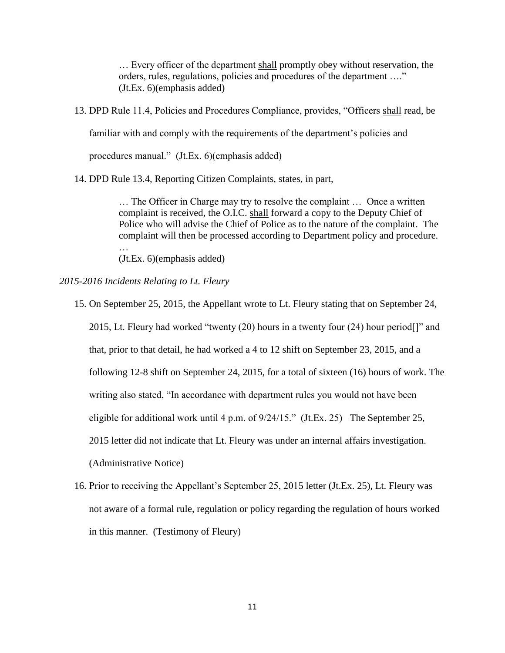… Every officer of the department shall promptly obey without reservation, the orders, rules, regulations, policies and procedures of the department …." (Jt.Ex. 6)(emphasis added)

13. DPD Rule 11.4, Policies and Procedures Compliance, provides, "Officers shall read, be

familiar with and comply with the requirements of the department's policies and

procedures manual." (Jt.Ex. 6)(emphasis added)

14. DPD Rule 13.4, Reporting Citizen Complaints, states, in part,

… The Officer in Charge may try to resolve the complaint … Once a written complaint is received, the O.I.C. shall forward a copy to the Deputy Chief of Police who will advise the Chief of Police as to the nature of the complaint. The complaint will then be processed according to Department policy and procedure.

(Jt.Ex. 6)(emphasis added)

*2015-2016 Incidents Relating to Lt. Fleury*

…

15. On September 25, 2015, the Appellant wrote to Lt. Fleury stating that on September 24,

2015, Lt. Fleury had worked "twenty (20) hours in a twenty four (24) hour period[]" and

that, prior to that detail, he had worked a 4 to 12 shift on September 23, 2015, and a

following 12-8 shift on September 24, 2015, for a total of sixteen (16) hours of work. The

writing also stated, "In accordance with department rules you would not have been

eligible for additional work until 4 p.m. of 9/24/15." (Jt.Ex. 25) The September 25,

2015 letter did not indicate that Lt. Fleury was under an internal affairs investigation.

(Administrative Notice)

16. Prior to receiving the Appellant's September 25, 2015 letter (Jt.Ex. 25), Lt. Fleury was not aware of a formal rule, regulation or policy regarding the regulation of hours worked in this manner. (Testimony of Fleury)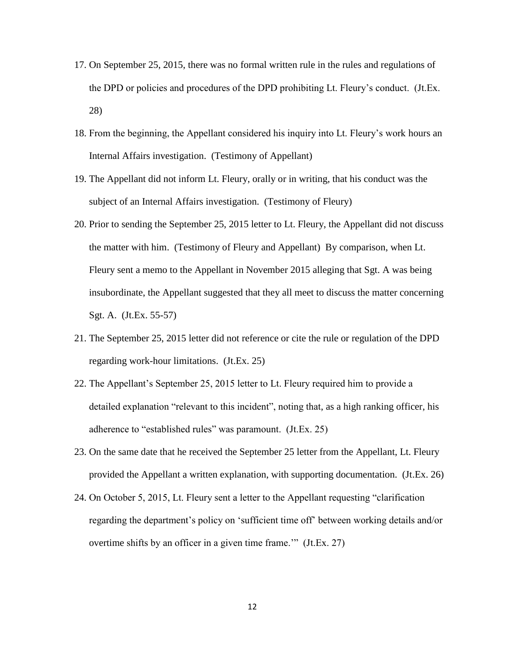- 17. On September 25, 2015, there was no formal written rule in the rules and regulations of the DPD or policies and procedures of the DPD prohibiting Lt. Fleury's conduct. (Jt.Ex. 28)
- 18. From the beginning, the Appellant considered his inquiry into Lt. Fleury's work hours an Internal Affairs investigation. (Testimony of Appellant)
- 19. The Appellant did not inform Lt. Fleury, orally or in writing, that his conduct was the subject of an Internal Affairs investigation. (Testimony of Fleury)
- 20. Prior to sending the September 25, 2015 letter to Lt. Fleury, the Appellant did not discuss the matter with him. (Testimony of Fleury and Appellant) By comparison, when Lt. Fleury sent a memo to the Appellant in November 2015 alleging that Sgt. A was being insubordinate, the Appellant suggested that they all meet to discuss the matter concerning Sgt. A. (Jt.Ex. 55-57)
- 21. The September 25, 2015 letter did not reference or cite the rule or regulation of the DPD regarding work-hour limitations. (Jt.Ex. 25)
- 22. The Appellant's September 25, 2015 letter to Lt. Fleury required him to provide a detailed explanation "relevant to this incident", noting that, as a high ranking officer, his adherence to "established rules" was paramount. (Jt.Ex. 25)
- 23. On the same date that he received the September 25 letter from the Appellant, Lt. Fleury provided the Appellant a written explanation, with supporting documentation. (Jt.Ex. 26)
- 24. On October 5, 2015, Lt. Fleury sent a letter to the Appellant requesting "clarification regarding the department's policy on 'sufficient time off' between working details and/or overtime shifts by an officer in a given time frame.'" (Jt.Ex. 27)

12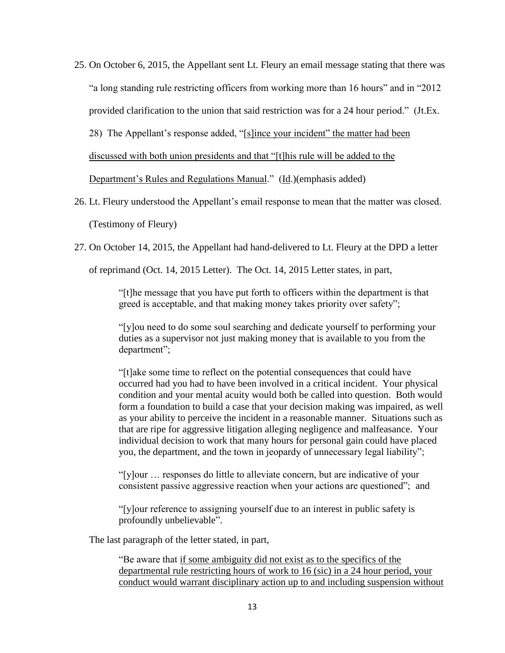25. On October 6, 2015, the Appellant sent Lt. Fleury an email message stating that there was "a long standing rule restricting officers from working more than 16 hours" and in "2012 provided clarification to the union that said restriction was for a 24 hour period." (Jt.Ex.

28) The Appellant's response added, "[s]ince your incident" the matter had been

discussed with both union presidents and that "[t]his rule will be added to the

Department's Rules and Regulations Manual." (Id.)(emphasis added)

- 26. Lt. Fleury understood the Appellant's email response to mean that the matter was closed. (Testimony of Fleury)
- 27. On October 14, 2015, the Appellant had hand-delivered to Lt. Fleury at the DPD a letter

of reprimand (Oct. 14, 2015 Letter). The Oct. 14, 2015 Letter states, in part,

"[t]he message that you have put forth to officers within the department is that greed is acceptable, and that making money takes priority over safety";

"[y]ou need to do some soul searching and dedicate yourself to performing your duties as a supervisor not just making money that is available to you from the department";

"[t]ake some time to reflect on the potential consequences that could have occurred had you had to have been involved in a critical incident. Your physical condition and your mental acuity would both be called into question. Both would form a foundation to build a case that your decision making was impaired, as well as your ability to perceive the incident in a reasonable manner. Situations such as that are ripe for aggressive litigation alleging negligence and malfeasance. Your individual decision to work that many hours for personal gain could have placed you, the department, and the town in jeopardy of unnecessary legal liability";

"[y]our … responses do little to alleviate concern, but are indicative of your consistent passive aggressive reaction when your actions are questioned"; and

"[y]our reference to assigning yourself due to an interest in public safety is profoundly unbelievable".

The last paragraph of the letter stated, in part,

"Be aware that if some ambiguity did not exist as to the specifics of the departmental rule restricting hours of work to 16 (sic) in a 24 hour period, your conduct would warrant disciplinary action up to and including suspension without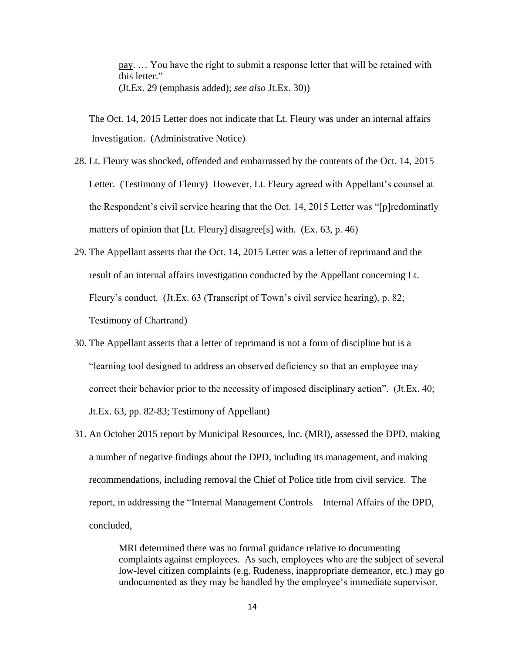pay. … You have the right to submit a response letter that will be retained with this letter." (Jt.Ex. 29 (emphasis added); *see also* Jt.Ex. 30))

The Oct. 14, 2015 Letter does not indicate that Lt. Fleury was under an internal affairs Investigation. (Administrative Notice)

- 28. Lt. Fleury was shocked, offended and embarrassed by the contents of the Oct. 14, 2015 Letter. (Testimony of Fleury) However, Lt. Fleury agreed with Appellant's counsel at the Respondent's civil service hearing that the Oct. 14, 2015 Letter was "[p]redominatly matters of opinion that [Lt. Fleury] disagree[s] with. (Ex. 63, p. 46)
- 29. The Appellant asserts that the Oct. 14, 2015 Letter was a letter of reprimand and the result of an internal affairs investigation conducted by the Appellant concerning Lt. Fleury's conduct. (Jt.Ex. 63 (Transcript of Town's civil service hearing), p. 82; Testimony of Chartrand)
- 30. The Appellant asserts that a letter of reprimand is not a form of discipline but is a "learning tool designed to address an observed deficiency so that an employee may correct their behavior prior to the necessity of imposed disciplinary action". (Jt.Ex. 40; Jt.Ex. 63, pp. 82-83; Testimony of Appellant)
- 31. An October 2015 report by Municipal Resources, Inc. (MRI), assessed the DPD, making a number of negative findings about the DPD, including its management, and making recommendations, including removal the Chief of Police title from civil service. The report, in addressing the "Internal Management Controls – Internal Affairs of the DPD, concluded,

MRI determined there was no formal guidance relative to documenting complaints against employees. As such, employees who are the subject of several low-level citizen complaints (e.g. Rudeness, inappropriate demeanor, etc.) may go undocumented as they may be handled by the employee's immediate supervisor.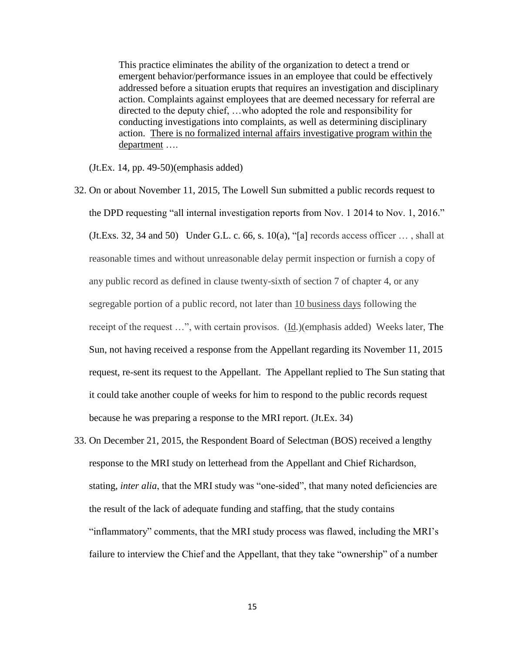This practice eliminates the ability of the organization to detect a trend or emergent behavior/performance issues in an employee that could be effectively addressed before a situation erupts that requires an investigation and disciplinary action. Complaints against employees that are deemed necessary for referral are directed to the deputy chief, …who adopted the role and responsibility for conducting investigations into complaints, as well as determining disciplinary action. There is no formalized internal affairs investigative program within the department ….

(Jt.Ex. 14, pp. 49-50)(emphasis added)

- 32. On or about November 11, 2015, The Lowell Sun submitted a public records request to the DPD requesting "all internal investigation reports from Nov. 1 2014 to Nov. 1, 2016."  $($ Jt.Exs. 32, 34 and 50 $)$  Under G.L. c. 66, s. 10(a), "[a] records access officer  $\dots$ , shall at reasonable times and without unreasonable delay permit inspection or furnish a copy of any public record as defined in clause twenty-sixth of section 7 of chapter 4, or any segregable portion of a public record, not later than 10 business days following the receipt of the request …", with certain provisos. (Id.)(emphasis added) Weeks later, The Sun, not having received a response from the Appellant regarding its November 11, 2015 request, re-sent its request to the Appellant. The Appellant replied to The Sun stating that it could take another couple of weeks for him to respond to the public records request because he was preparing a response to the MRI report. (Jt.Ex. 34)
- 33. On December 21, 2015, the Respondent Board of Selectman (BOS) received a lengthy response to the MRI study on letterhead from the Appellant and Chief Richardson, stating, *inter alia*, that the MRI study was "one-sided", that many noted deficiencies are the result of the lack of adequate funding and staffing, that the study contains "inflammatory" comments, that the MRI study process was flawed, including the MRI's failure to interview the Chief and the Appellant, that they take "ownership" of a number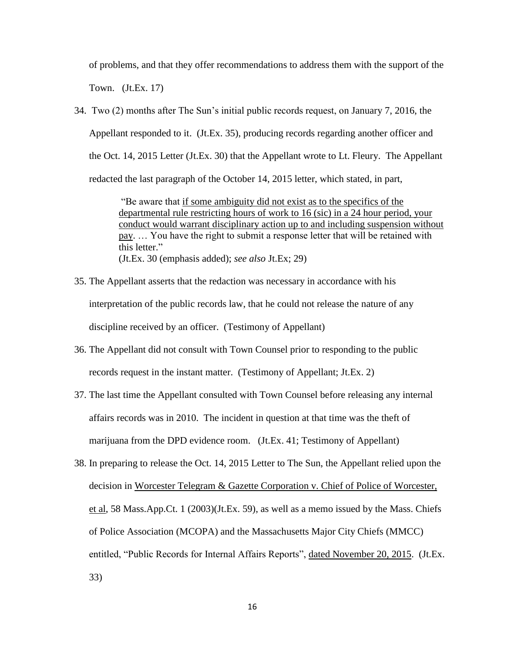of problems, and that they offer recommendations to address them with the support of the Town. (Jt.Ex. 17)

34. Two (2) months after The Sun's initial public records request, on January 7, 2016, the Appellant responded to it. (Jt.Ex. 35), producing records regarding another officer and the Oct. 14, 2015 Letter (Jt.Ex. 30) that the Appellant wrote to Lt. Fleury. The Appellant redacted the last paragraph of the October 14, 2015 letter, which stated, in part,

> "Be aware that if some ambiguity did not exist as to the specifics of the departmental rule restricting hours of work to 16 (sic) in a 24 hour period, your conduct would warrant disciplinary action up to and including suspension without pay. … You have the right to submit a response letter that will be retained with this letter." (Jt.Ex. 30 (emphasis added); *see also* Jt.Ex; 29)

- 35. The Appellant asserts that the redaction was necessary in accordance with his interpretation of the public records law, that he could not release the nature of any discipline received by an officer. (Testimony of Appellant)
- 36. The Appellant did not consult with Town Counsel prior to responding to the public records request in the instant matter. (Testimony of Appellant; Jt.Ex. 2)
- 37. The last time the Appellant consulted with Town Counsel before releasing any internal affairs records was in 2010. The incident in question at that time was the theft of marijuana from the DPD evidence room. (Jt.Ex. 41; Testimony of Appellant)
- 38. In preparing to release the Oct. 14, 2015 Letter to The Sun, the Appellant relied upon the decision in Worcester Telegram & Gazette Corporation v. Chief of Police of Worcester, et al, 58 Mass.App.Ct. 1 (2003)(Jt.Ex. 59), as well as a memo issued by the Mass. Chiefs of Police Association (MCOPA) and the Massachusetts Major City Chiefs (MMCC) entitled, "Public Records for Internal Affairs Reports", dated November 20, 2015. (Jt.Ex. 33)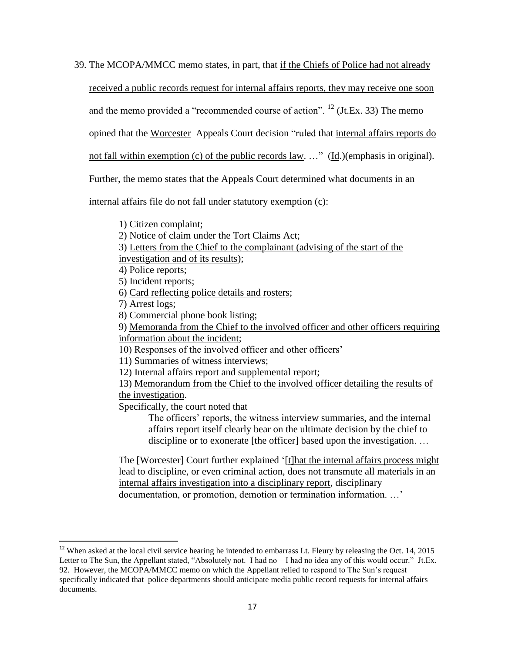39. The MCOPA/MMCC memo states, in part, that if the Chiefs of Police had not already

received a public records request for internal affairs reports, they may receive one soon

and the memo provided a "recommended course of action".  $^{12}$  (Jt.Ex. 33) The memo

opined that the Worcester Appeals Court decision "ruled that internal affairs reports do

not fall within exemption (c) of the public records law. …" (Id.)(emphasis in original).

Further, the memo states that the Appeals Court determined what documents in an

internal affairs file do not fall under statutory exemption (c):

1) Citizen complaint;

2) Notice of claim under the Tort Claims Act;

3) Letters from the Chief to the complainant (advising of the start of the

investigation and of its results);

4) Police reports;

5) Incident reports;

- 6) Card reflecting police details and rosters;
- 7) Arrest logs;

 $\overline{a}$ 

8) Commercial phone book listing;

9) Memoranda from the Chief to the involved officer and other officers requiring information about the incident;

10) Responses of the involved officer and other officers'

11) Summaries of witness interviews;

12) Internal affairs report and supplemental report;

13) Memorandum from the Chief to the involved officer detailing the results of the investigation.

Specifically, the court noted that

The officers' reports, the witness interview summaries, and the internal affairs report itself clearly bear on the ultimate decision by the chief to discipline or to exonerate [the officer] based upon the investigation. …

The [Worcester] Court further explained '[t]hat the internal affairs process might lead to discipline, or even criminal action, does not transmute all materials in an internal affairs investigation into a disciplinary report, disciplinary documentation, or promotion, demotion or termination information. …'

 $12$  When asked at the local civil service hearing he intended to embarrass Lt. Fleury by releasing the Oct. 14, 2015 Letter to The Sun, the Appellant stated, "Absolutely not. I had no – I had no idea any of this would occur." Jt.Ex. 92. However, the MCOPA/MMCC memo on which the Appellant relied to respond to The Sun's request specifically indicated that police departments should anticipate media public record requests for internal affairs documents.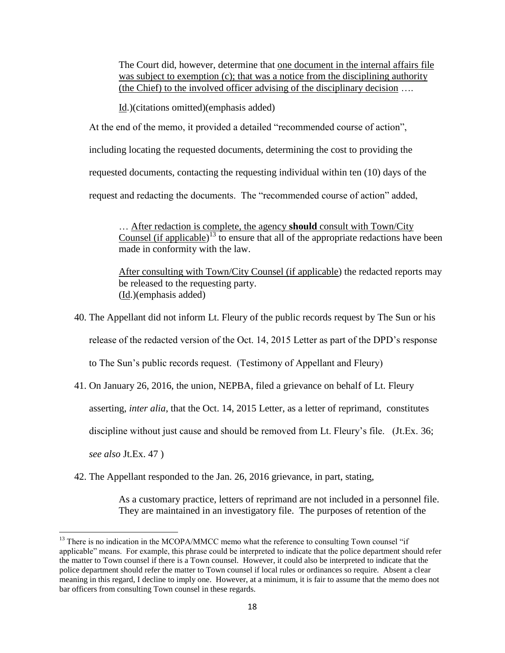The Court did, however, determine that one document in the internal affairs file was subject to exemption (c); that was a notice from the disciplining authority (the Chief) to the involved officer advising of the disciplinary decision ….

Id.)(citations omitted)(emphasis added)

At the end of the memo, it provided a detailed "recommended course of action",

including locating the requested documents, determining the cost to providing the

requested documents, contacting the requesting individual within ten (10) days of the

request and redacting the documents. The "recommended course of action" added,

… After redaction is complete, the agency **should** consult with Town/City Counsel (if applicable)<sup>13</sup> to ensure that all of the appropriate redactions have been made in conformity with the law.

After consulting with Town/City Counsel (if applicable) the redacted reports may be released to the requesting party. (Id.)(emphasis added)

40. The Appellant did not inform Lt. Fleury of the public records request by The Sun or his

release of the redacted version of the Oct. 14, 2015 Letter as part of the DPD's response

to The Sun's public records request. (Testimony of Appellant and Fleury)

41. On January 26, 2016, the union, NEPBA, filed a grievance on behalf of Lt. Fleury

asserting, *inter alia*, that the Oct. 14, 2015 Letter, as a letter of reprimand, constitutes

discipline without just cause and should be removed from Lt. Fleury's file. (Jt.Ex. 36;

*see also* Jt.Ex. 47 )

l

42. The Appellant responded to the Jan. 26, 2016 grievance, in part, stating,

As a customary practice, letters of reprimand are not included in a personnel file. They are maintained in an investigatory file. The purposes of retention of the

<sup>&</sup>lt;sup>13</sup> There is no indication in the MCOPA/MMCC memo what the reference to consulting Town counsel "if applicable" means. For example, this phrase could be interpreted to indicate that the police department should refer the matter to Town counsel if there is a Town counsel. However, it could also be interpreted to indicate that the police department should refer the matter to Town counsel if local rules or ordinances so require. Absent a clear meaning in this regard, I decline to imply one. However, at a minimum, it is fair to assume that the memo does not bar officers from consulting Town counsel in these regards.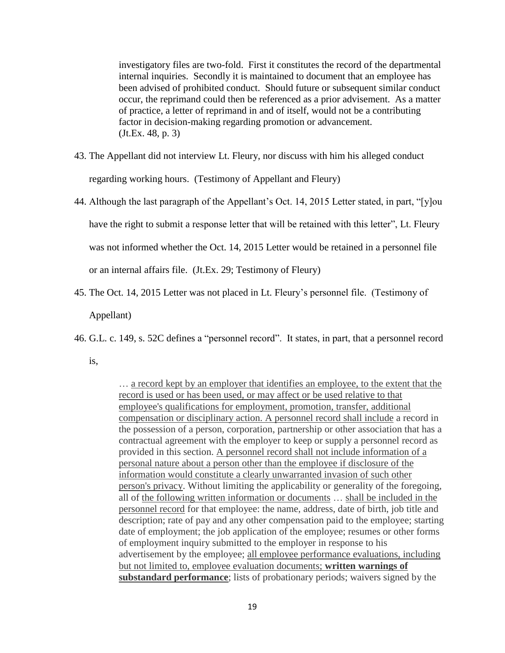investigatory files are two-fold. First it constitutes the record of the departmental internal inquiries. Secondly it is maintained to document that an employee has been advised of prohibited conduct. Should future or subsequent similar conduct occur, the reprimand could then be referenced as a prior advisement. As a matter of practice, a letter of reprimand in and of itself, would not be a contributing factor in decision-making regarding promotion or advancement. (Jt.Ex. 48, p. 3)

- 43. The Appellant did not interview Lt. Fleury, nor discuss with him his alleged conduct regarding working hours. (Testimony of Appellant and Fleury)
- 44. Although the last paragraph of the Appellant's Oct. 14, 2015 Letter stated, in part, "[y]ou

have the right to submit a response letter that will be retained with this letter", Lt. Fleury

was not informed whether the Oct. 14, 2015 Letter would be retained in a personnel file

or an internal affairs file. (Jt.Ex. 29; Testimony of Fleury)

45. The Oct. 14, 2015 Letter was not placed in Lt. Fleury's personnel file. (Testimony of

Appellant)

46. G.L. c. 149, s. 52C defines a "personnel record". It states, in part, that a personnel record

is,

… a record kept by an employer that identifies an employee, to the extent that the record is used or has been used, or may affect or be used relative to that employee's qualifications for employment, promotion, transfer, additional compensation or disciplinary action. A personnel record shall include a record in the possession of a person, corporation, partnership or other association that has a contractual agreement with the employer to keep or supply a personnel record as provided in this section. A personnel record shall not include information of a personal nature about a person other than the employee if disclosure of the information would constitute a clearly unwarranted invasion of such other person's privacy. Without limiting the applicability or generality of the foregoing, all of the following written information or documents … shall be included in the personnel record for that employee: the name, address, date of birth, job title and description; rate of pay and any other compensation paid to the employee; starting date of employment; the job application of the employee; resumes or other forms of employment inquiry submitted to the employer in response to his advertisement by the employee; all employee performance evaluations, including but not limited to, employee evaluation documents; **written warnings of substandard performance**; lists of probationary periods; waivers signed by the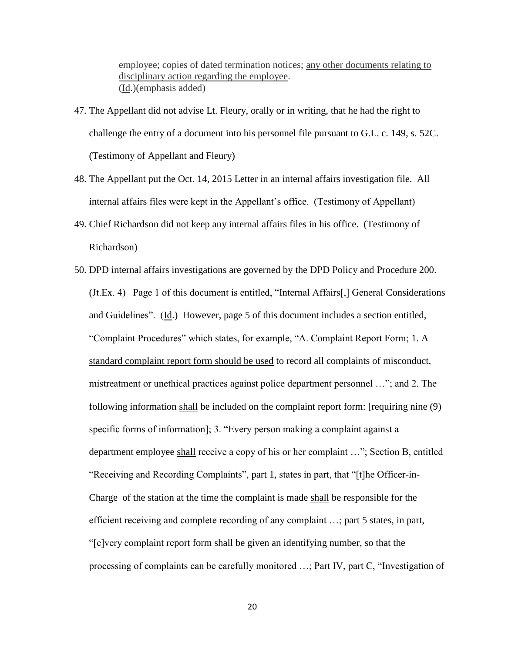employee; copies of dated termination notices; any other documents relating to disciplinary action regarding the employee. (Id.)(emphasis added)

- 47. The Appellant did not advise Lt. Fleury, orally or in writing, that he had the right to challenge the entry of a document into his personnel file pursuant to G.L. c. 149, s. 52C. (Testimony of Appellant and Fleury)
- 48. The Appellant put the Oct. 14, 2015 Letter in an internal affairs investigation file. All internal affairs files were kept in the Appellant's office. (Testimony of Appellant)
- 49. Chief Richardson did not keep any internal affairs files in his office. (Testimony of Richardson)
- 50. DPD internal affairs investigations are governed by the DPD Policy and Procedure 200. (Jt.Ex. 4) Page 1 of this document is entitled, "Internal Affairs[,] General Considerations and Guidelines". (Id.) However, page 5 of this document includes a section entitled, "Complaint Procedures" which states, for example, "A. Complaint Report Form; 1. A standard complaint report form should be used to record all complaints of misconduct, mistreatment or unethical practices against police department personnel …"; and 2. The following information shall be included on the complaint report form: [requiring nine (9) specific forms of information]; 3. "Every person making a complaint against a department employee shall receive a copy of his or her complaint …"; Section B, entitled "Receiving and Recording Complaints", part 1, states in part, that "[t]he Officer-in-Charge of the station at the time the complaint is made shall be responsible for the efficient receiving and complete recording of any complaint …; part 5 states, in part, "[e]very complaint report form shall be given an identifying number, so that the processing of complaints can be carefully monitored …; Part IV, part C, "Investigation of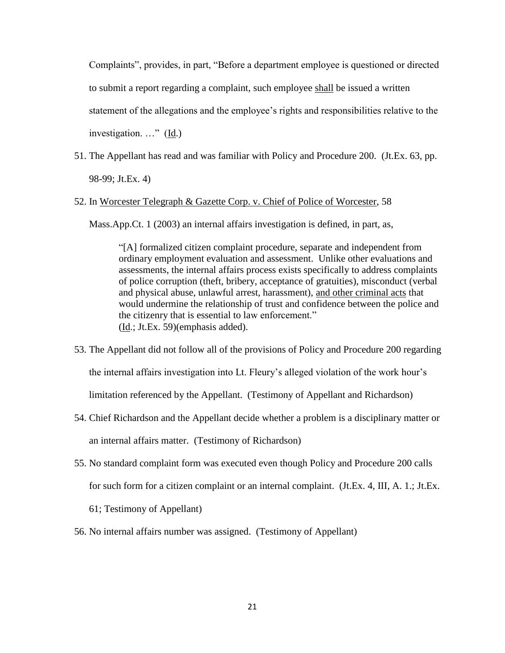Complaints", provides, in part, "Before a department employee is questioned or directed to submit a report regarding a complaint, such employee shall be issued a written statement of the allegations and the employee's rights and responsibilities relative to the investigation.  $\ldots$ " (Id.)

51. The Appellant has read and was familiar with Policy and Procedure 200. (Jt.Ex. 63, pp. 98-99; Jt.Ex. 4)

### 52. In Worcester Telegraph & Gazette Corp. v. Chief of Police of Worcester, 58

Mass.App.Ct. 1 (2003) an internal affairs investigation is defined, in part, as,

"[A] formalized citizen complaint procedure, separate and independent from ordinary employment evaluation and assessment. Unlike other evaluations and assessments, the internal affairs process exists specifically to address complaints of police corruption (theft, bribery, acceptance of gratuities), misconduct (verbal and physical abuse, unlawful arrest, harassment), and other criminal acts that would undermine the relationship of trust and confidence between the police and the citizenry that is essential to law enforcement." (Id.; Jt.Ex. 59)(emphasis added).

- 53. The Appellant did not follow all of the provisions of Policy and Procedure 200 regarding the internal affairs investigation into Lt. Fleury's alleged violation of the work hour's limitation referenced by the Appellant. (Testimony of Appellant and Richardson)
- 54. Chief Richardson and the Appellant decide whether a problem is a disciplinary matter or an internal affairs matter. (Testimony of Richardson)
- 55. No standard complaint form was executed even though Policy and Procedure 200 calls for such form for a citizen complaint or an internal complaint. (Jt.Ex. 4, III, A. 1.; Jt.Ex.
	- 61; Testimony of Appellant)
- 56. No internal affairs number was assigned. (Testimony of Appellant)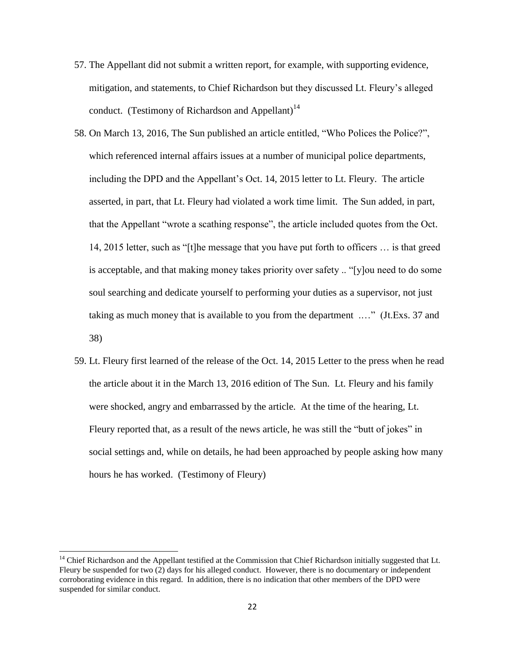- 57. The Appellant did not submit a written report, for example, with supporting evidence, mitigation, and statements, to Chief Richardson but they discussed Lt. Fleury's alleged conduct. (Testimony of Richardson and Appellant)<sup>14</sup>
- 58. On March 13, 2016, The Sun published an article entitled, "Who Polices the Police?", which referenced internal affairs issues at a number of municipal police departments, including the DPD and the Appellant's Oct. 14, 2015 letter to Lt. Fleury. The article asserted, in part, that Lt. Fleury had violated a work time limit. The Sun added, in part, that the Appellant "wrote a scathing response", the article included quotes from the Oct. 14, 2015 letter, such as "[t]he message that you have put forth to officers … is that greed is acceptable, and that making money takes priority over safety .. "[y]ou need to do some soul searching and dedicate yourself to performing your duties as a supervisor, not just taking as much money that is available to you from the department .…" (Jt.Exs. 37 and 38)
- 59. Lt. Fleury first learned of the release of the Oct. 14, 2015 Letter to the press when he read the article about it in the March 13, 2016 edition of The Sun. Lt. Fleury and his family were shocked, angry and embarrassed by the article. At the time of the hearing, Lt. Fleury reported that, as a result of the news article, he was still the "butt of jokes" in social settings and, while on details, he had been approached by people asking how many hours he has worked. (Testimony of Fleury)

 $\overline{\phantom{a}}$ 

 $14$  Chief Richardson and the Appellant testified at the Commission that Chief Richardson initially suggested that Lt. Fleury be suspended for two (2) days for his alleged conduct. However, there is no documentary or independent corroborating evidence in this regard. In addition, there is no indication that other members of the DPD were suspended for similar conduct.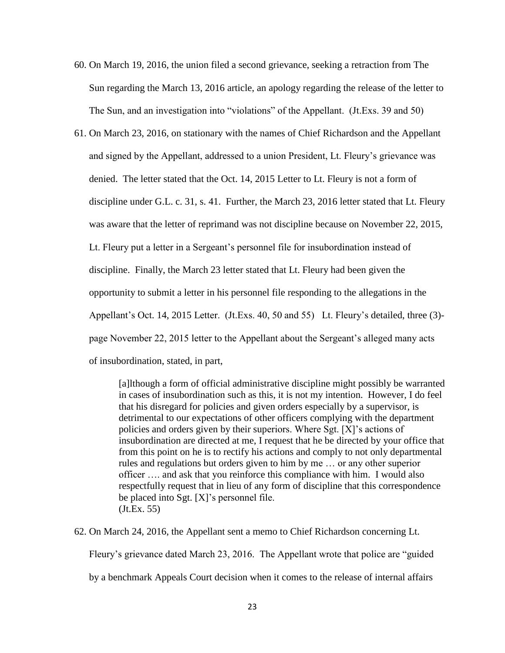- 60. On March 19, 2016, the union filed a second grievance, seeking a retraction from The Sun regarding the March 13, 2016 article, an apology regarding the release of the letter to The Sun, and an investigation into "violations" of the Appellant. (Jt.Exs. 39 and 50)
- 61. On March 23, 2016, on stationary with the names of Chief Richardson and the Appellant and signed by the Appellant, addressed to a union President, Lt. Fleury's grievance was denied. The letter stated that the Oct. 14, 2015 Letter to Lt. Fleury is not a form of discipline under G.L. c. 31, s. 41. Further, the March 23, 2016 letter stated that Lt. Fleury was aware that the letter of reprimand was not discipline because on November 22, 2015, Lt. Fleury put a letter in a Sergeant's personnel file for insubordination instead of discipline. Finally, the March 23 letter stated that Lt. Fleury had been given the opportunity to submit a letter in his personnel file responding to the allegations in the Appellant's Oct. 14, 2015 Letter. (Jt.Exs. 40, 50 and 55) Lt. Fleury's detailed, three (3) page November 22, 2015 letter to the Appellant about the Sergeant's alleged many acts of insubordination, stated, in part,

[a]lthough a form of official administrative discipline might possibly be warranted in cases of insubordination such as this, it is not my intention. However, I do feel that his disregard for policies and given orders especially by a supervisor, is detrimental to our expectations of other officers complying with the department policies and orders given by their superiors. Where Sgt. [X]'s actions of insubordination are directed at me, I request that he be directed by your office that from this point on he is to rectify his actions and comply to not only departmental rules and regulations but orders given to him by me … or any other superior officer …. and ask that you reinforce this compliance with him. I would also respectfully request that in lieu of any form of discipline that this correspondence be placed into Sgt. [X]'s personnel file. (Jt.Ex. 55)

62. On March 24, 2016, the Appellant sent a memo to Chief Richardson concerning Lt.

Fleury's grievance dated March 23, 2016. The Appellant wrote that police are "guided

by a benchmark Appeals Court decision when it comes to the release of internal affairs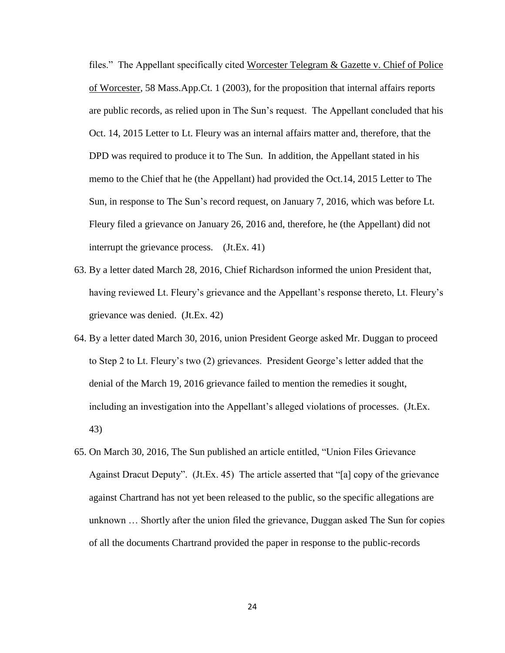files." The Appellant specifically cited Worcester Telegram & Gazette v. Chief of Police of Worcester, 58 Mass.App.Ct. 1 (2003), for the proposition that internal affairs reports are public records, as relied upon in The Sun's request. The Appellant concluded that his Oct. 14, 2015 Letter to Lt. Fleury was an internal affairs matter and, therefore, that the DPD was required to produce it to The Sun. In addition, the Appellant stated in his memo to the Chief that he (the Appellant) had provided the Oct.14, 2015 Letter to The Sun, in response to The Sun's record request, on January 7, 2016, which was before Lt. Fleury filed a grievance on January 26, 2016 and, therefore, he (the Appellant) did not interrupt the grievance process. (Jt.Ex. 41)

- 63. By a letter dated March 28, 2016, Chief Richardson informed the union President that, having reviewed Lt. Fleury's grievance and the Appellant's response thereto, Lt. Fleury's grievance was denied. (Jt.Ex. 42)
- 64. By a letter dated March 30, 2016, union President George asked Mr. Duggan to proceed to Step 2 to Lt. Fleury's two (2) grievances. President George's letter added that the denial of the March 19, 2016 grievance failed to mention the remedies it sought, including an investigation into the Appellant's alleged violations of processes. (Jt.Ex. 43)
- 65. On March 30, 2016, The Sun published an article entitled, "Union Files Grievance Against Dracut Deputy". (Jt.Ex. 45) The article asserted that "[a] copy of the grievance against Chartrand has not yet been released to the public, so the specific allegations are unknown … Shortly after the union filed the grievance, Duggan asked The Sun for copies of all the documents Chartrand provided the paper in response to the public-records

24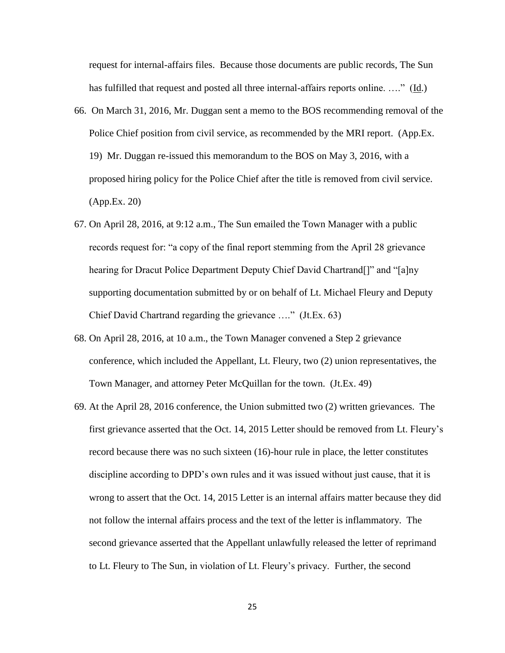request for internal-affairs files. Because those documents are public records, The Sun has fulfilled that request and posted all three internal-affairs reports online. ...." (Id.)

- 66. On March 31, 2016, Mr. Duggan sent a memo to the BOS recommending removal of the Police Chief position from civil service, as recommended by the MRI report. (App.Ex. 19) Mr. Duggan re-issued this memorandum to the BOS on May 3, 2016, with a proposed hiring policy for the Police Chief after the title is removed from civil service. (App.Ex. 20)
- 67. On April 28, 2016, at 9:12 a.m., The Sun emailed the Town Manager with a public records request for: "a copy of the final report stemming from the April 28 grievance hearing for Dracut Police Department Deputy Chief David Chartrand[]" and "[a]ny supporting documentation submitted by or on behalf of Lt. Michael Fleury and Deputy Chief David Chartrand regarding the grievance …." (Jt.Ex. 63)
- 68. On April 28, 2016, at 10 a.m., the Town Manager convened a Step 2 grievance conference, which included the Appellant, Lt. Fleury, two (2) union representatives, the Town Manager, and attorney Peter McQuillan for the town. (Jt.Ex. 49)
- 69. At the April 28, 2016 conference, the Union submitted two (2) written grievances. The first grievance asserted that the Oct. 14, 2015 Letter should be removed from Lt. Fleury's record because there was no such sixteen (16)-hour rule in place, the letter constitutes discipline according to DPD's own rules and it was issued without just cause, that it is wrong to assert that the Oct. 14, 2015 Letter is an internal affairs matter because they did not follow the internal affairs process and the text of the letter is inflammatory. The second grievance asserted that the Appellant unlawfully released the letter of reprimand to Lt. Fleury to The Sun, in violation of Lt. Fleury's privacy. Further, the second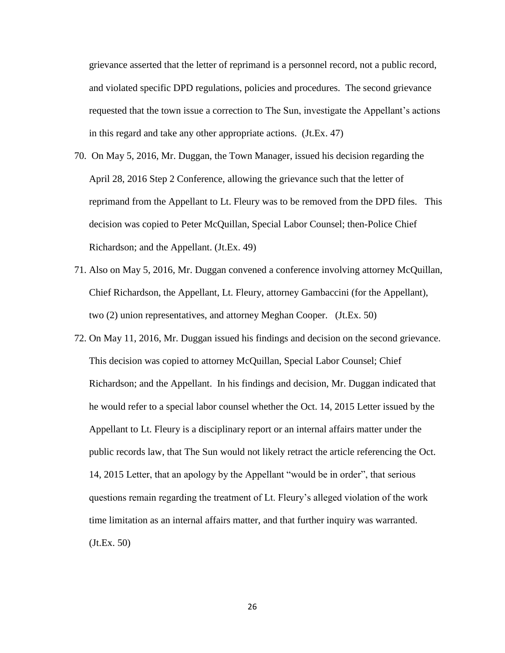grievance asserted that the letter of reprimand is a personnel record, not a public record, and violated specific DPD regulations, policies and procedures. The second grievance requested that the town issue a correction to The Sun, investigate the Appellant's actions in this regard and take any other appropriate actions. (Jt.Ex. 47)

- 70. On May 5, 2016, Mr. Duggan, the Town Manager, issued his decision regarding the April 28, 2016 Step 2 Conference, allowing the grievance such that the letter of reprimand from the Appellant to Lt. Fleury was to be removed from the DPD files. This decision was copied to Peter McQuillan, Special Labor Counsel; then-Police Chief Richardson; and the Appellant. (Jt.Ex. 49)
- 71. Also on May 5, 2016, Mr. Duggan convened a conference involving attorney McQuillan, Chief Richardson, the Appellant, Lt. Fleury, attorney Gambaccini (for the Appellant), two (2) union representatives, and attorney Meghan Cooper. (Jt.Ex. 50)
- 72. On May 11, 2016, Mr. Duggan issued his findings and decision on the second grievance. This decision was copied to attorney McQuillan, Special Labor Counsel; Chief Richardson; and the Appellant. In his findings and decision, Mr. Duggan indicated that he would refer to a special labor counsel whether the Oct. 14, 2015 Letter issued by the Appellant to Lt. Fleury is a disciplinary report or an internal affairs matter under the public records law, that The Sun would not likely retract the article referencing the Oct. 14, 2015 Letter, that an apology by the Appellant "would be in order", that serious questions remain regarding the treatment of Lt. Fleury's alleged violation of the work time limitation as an internal affairs matter, and that further inquiry was warranted. (Jt.Ex. 50)

26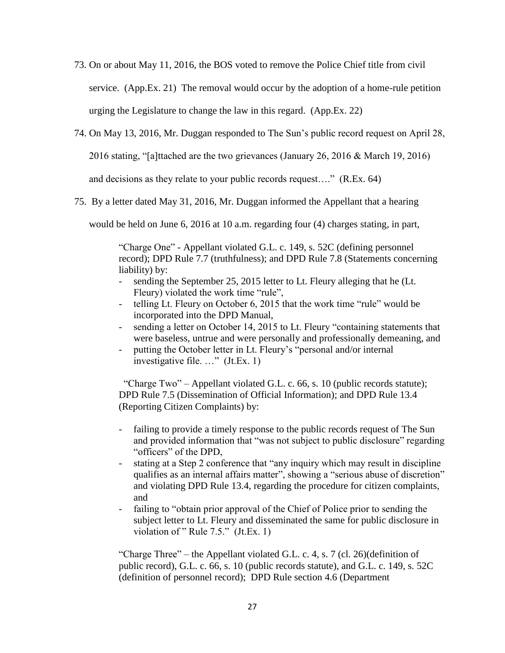- 73. On or about May 11, 2016, the BOS voted to remove the Police Chief title from civil service. (App.Ex. 21) The removal would occur by the adoption of a home-rule petition urging the Legislature to change the law in this regard. (App.Ex. 22)
- 74. On May 13, 2016, Mr. Duggan responded to The Sun's public record request on April 28,

2016 stating, "[a]ttached are the two grievances (January 26, 2016 & March 19, 2016)

and decisions as they relate to your public records request…." (R.Ex. 64)

75. By a letter dated May 31, 2016, Mr. Duggan informed the Appellant that a hearing

would be held on June 6, 2016 at 10 a.m. regarding four (4) charges stating, in part,

"Charge One" - Appellant violated G.L. c. 149, s. 52C (defining personnel record); DPD Rule 7.7 (truthfulness); and DPD Rule 7.8 (Statements concerning liability) by:

- sending the September 25, 2015 letter to Lt. Fleury alleging that he (Lt. Fleury) violated the work time "rule",
- telling Lt. Fleury on October 6, 2015 that the work time "rule" would be incorporated into the DPD Manual,
- sending a letter on October 14, 2015 to Lt. Fleury "containing statements that were baseless, untrue and were personally and professionally demeaning, and
- putting the October letter in Lt. Fleury's "personal and/or internal investigative file. …" (Jt.Ex. 1)

 "Charge Two" – Appellant violated G.L. c. 66, s. 10 (public records statute); DPD Rule 7.5 (Dissemination of Official Information); and DPD Rule 13.4 (Reporting Citizen Complaints) by:

- failing to provide a timely response to the public records request of The Sun and provided information that "was not subject to public disclosure" regarding "officers" of the DPD,
- stating at a Step 2 conference that "any inquiry which may result in discipline qualifies as an internal affairs matter", showing a "serious abuse of discretion" and violating DPD Rule 13.4, regarding the procedure for citizen complaints, and
- failing to "obtain prior approval of the Chief of Police prior to sending the subject letter to Lt. Fleury and disseminated the same for public disclosure in violation of " Rule 7.5." (Jt.Ex. 1)

"Charge Three" – the Appellant violated G.L. c. 4, s. 7 (cl. 26)(definition of public record), G.L. c. 66, s. 10 (public records statute), and G.L. c. 149, s. 52C (definition of personnel record); DPD Rule section 4.6 (Department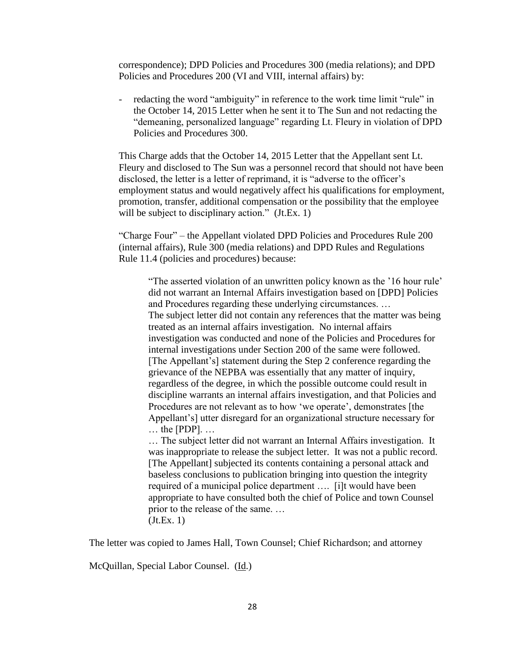correspondence); DPD Policies and Procedures 300 (media relations); and DPD Policies and Procedures 200 (VI and VIII, internal affairs) by:

- redacting the word "ambiguity" in reference to the work time limit "rule" in the October 14, 2015 Letter when he sent it to The Sun and not redacting the "demeaning, personalized language" regarding Lt. Fleury in violation of DPD Policies and Procedures 300.

This Charge adds that the October 14, 2015 Letter that the Appellant sent Lt. Fleury and disclosed to The Sun was a personnel record that should not have been disclosed, the letter is a letter of reprimand, it is "adverse to the officer's employment status and would negatively affect his qualifications for employment, promotion, transfer, additional compensation or the possibility that the employee will be subject to disciplinary action." (Jt.Ex. 1)

"Charge Four" – the Appellant violated DPD Policies and Procedures Rule 200 (internal affairs), Rule 300 (media relations) and DPD Rules and Regulations Rule 11.4 (policies and procedures) because:

"The asserted violation of an unwritten policy known as the '16 hour rule' did not warrant an Internal Affairs investigation based on [DPD] Policies and Procedures regarding these underlying circumstances. … The subject letter did not contain any references that the matter was being treated as an internal affairs investigation. No internal affairs investigation was conducted and none of the Policies and Procedures for internal investigations under Section 200 of the same were followed. [The Appellant's] statement during the Step 2 conference regarding the grievance of the NEPBA was essentially that any matter of inquiry, regardless of the degree, in which the possible outcome could result in discipline warrants an internal affairs investigation, and that Policies and Procedures are not relevant as to how 'we operate', demonstrates [the Appellant's] utter disregard for an organizational structure necessary for … the [PDP]. …

… The subject letter did not warrant an Internal Affairs investigation. It was inappropriate to release the subject letter. It was not a public record. [The Appellant] subjected its contents containing a personal attack and baseless conclusions to publication bringing into question the integrity required of a municipal police department …. [i]t would have been appropriate to have consulted both the chief of Police and town Counsel prior to the release of the same. … (Jt.Ex. 1)

The letter was copied to James Hall, Town Counsel; Chief Richardson; and attorney

McQuillan, Special Labor Counsel. (Id.)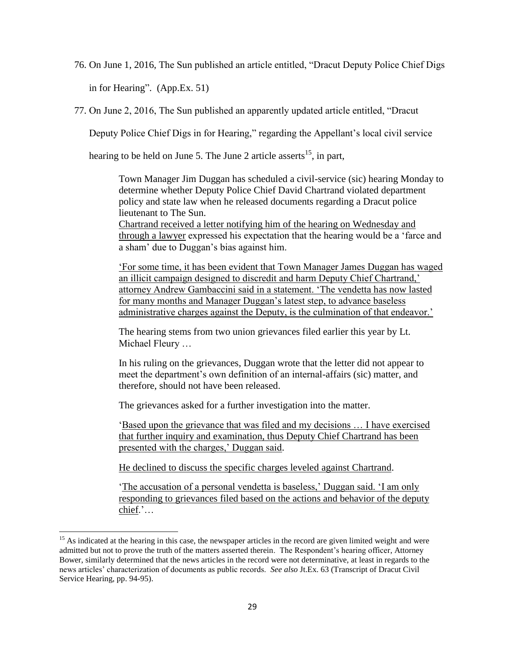76. On June 1, 2016, The Sun published an article entitled, "Dracut Deputy Police Chief Digs

in for Hearing". (App.Ex. 51)

l

77. On June 2, 2016, The Sun published an apparently updated article entitled, "Dracut

Deputy Police Chief Digs in for Hearing," regarding the Appellant's local civil service

hearing to be held on June 5. The June 2 article asserts<sup>15</sup>, in part,

Town Manager Jim Duggan has scheduled a civil-service (sic) hearing Monday to determine whether Deputy Police Chief David Chartrand violated department policy and state law when he released documents regarding a Dracut police lieutenant to The Sun.

Chartrand received a letter notifying him of the hearing on Wednesday and through a lawyer expressed his expectation that the hearing would be a 'farce and a sham' due to Duggan's bias against him.

'For some time, it has been evident that Town Manager James Duggan has waged an illicit campaign designed to discredit and harm Deputy Chief Chartrand,' attorney Andrew Gambaccini said in a statement. 'The vendetta has now lasted for many months and Manager Duggan's latest step, to advance baseless administrative charges against the Deputy, is the culmination of that endeavor.'

The hearing stems from two union grievances filed earlier this year by Lt. Michael Fleury …

In his ruling on the grievances, Duggan wrote that the letter did not appear to meet the department's own definition of an internal-affairs (sic) matter, and therefore, should not have been released.

The grievances asked for a further investigation into the matter.

'Based upon the grievance that was filed and my decisions … I have exercised that further inquiry and examination, thus Deputy Chief Chartrand has been presented with the charges,' Duggan said.

He declined to discuss the specific charges leveled against Chartrand.

'The accusation of a personal vendetta is baseless,' Duggan said. 'I am only responding to grievances filed based on the actions and behavior of the deputy chief.'…

 $15$  As indicated at the hearing in this case, the newspaper articles in the record are given limited weight and were admitted but not to prove the truth of the matters asserted therein. The Respondent's hearing officer, Attorney Bower, similarly determined that the news articles in the record were not determinative, at least in regards to the news articles' characterization of documents as public records. *See also* Jt.Ex. 63 (Transcript of Dracut Civil Service Hearing, pp. 94-95).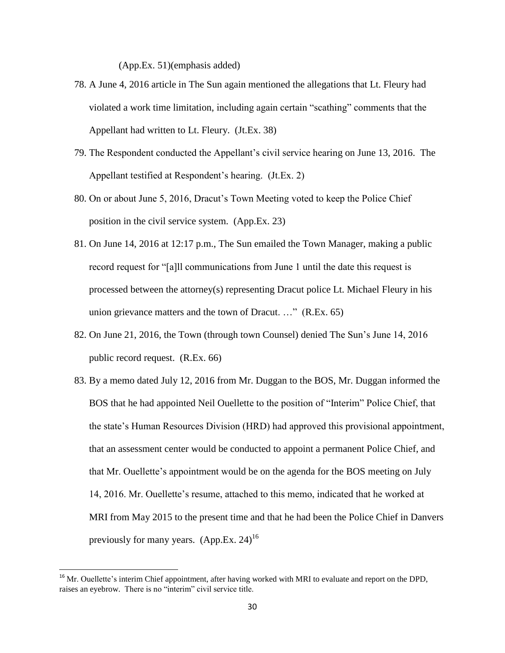(App.Ex. 51)(emphasis added)

- 78. A June 4, 2016 article in The Sun again mentioned the allegations that Lt. Fleury had violated a work time limitation, including again certain "scathing" comments that the Appellant had written to Lt. Fleury. (Jt.Ex. 38)
- 79. The Respondent conducted the Appellant's civil service hearing on June 13, 2016. The Appellant testified at Respondent's hearing. (Jt.Ex. 2)
- 80. On or about June 5, 2016, Dracut's Town Meeting voted to keep the Police Chief position in the civil service system. (App.Ex. 23)
- 81. On June 14, 2016 at 12:17 p.m., The Sun emailed the Town Manager, making a public record request for "[a]ll communications from June 1 until the date this request is processed between the attorney(s) representing Dracut police Lt. Michael Fleury in his union grievance matters and the town of Dracut. …" (R.Ex. 65)
- 82. On June 21, 2016, the Town (through town Counsel) denied The Sun's June 14, 2016 public record request. (R.Ex. 66)
- 83. By a memo dated July 12, 2016 from Mr. Duggan to the BOS, Mr. Duggan informed the BOS that he had appointed Neil Ouellette to the position of "Interim" Police Chief, that the state's Human Resources Division (HRD) had approved this provisional appointment, that an assessment center would be conducted to appoint a permanent Police Chief, and that Mr. Ouellette's appointment would be on the agenda for the BOS meeting on July 14, 2016. Mr. Ouellette's resume, attached to this memo, indicated that he worked at MRI from May 2015 to the present time and that he had been the Police Chief in Danvers previously for many years.  $(App.Ex. 24)^{16}$

l

<sup>&</sup>lt;sup>16</sup> Mr. Ouellette's interim Chief appointment, after having worked with MRI to evaluate and report on the DPD, raises an eyebrow. There is no "interim" civil service title.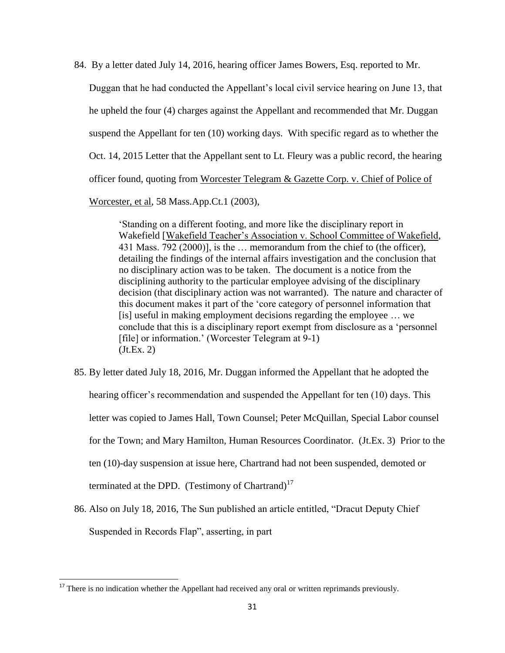84. By a letter dated July 14, 2016, hearing officer James Bowers, Esq. reported to Mr.

Duggan that he had conducted the Appellant's local civil service hearing on June 13, that he upheld the four (4) charges against the Appellant and recommended that Mr. Duggan suspend the Appellant for ten (10) working days. With specific regard as to whether the Oct. 14, 2015 Letter that the Appellant sent to Lt. Fleury was a public record, the hearing officer found, quoting from Worcester Telegram & Gazette Corp. v. Chief of Police of

Worcester, et al, 58 Mass.App.Ct.1 (2003),

'Standing on a different footing, and more like the disciplinary report in Wakefield [Wakefield Teacher's Association v. School Committee of Wakefield, 431 Mass. 792 (2000)], is the … memorandum from the chief to (the officer), detailing the findings of the internal affairs investigation and the conclusion that no disciplinary action was to be taken. The document is a notice from the disciplining authority to the particular employee advising of the disciplinary decision (that disciplinary action was not warranted). The nature and character of this document makes it part of the 'core category of personnel information that [is] useful in making employment decisions regarding the employee … we conclude that this is a disciplinary report exempt from disclosure as a 'personnel [file] or information.' (Worcester Telegram at 9-1)  $(Jt.Ex. 2)$ 

- 85. By letter dated July 18, 2016, Mr. Duggan informed the Appellant that he adopted the hearing officer's recommendation and suspended the Appellant for ten (10) days. This letter was copied to James Hall, Town Counsel; Peter McQuillan, Special Labor counsel for the Town; and Mary Hamilton, Human Resources Coordinator. (Jt.Ex. 3) Prior to the ten (10)-day suspension at issue here, Chartrand had not been suspended, demoted or terminated at the DPD. (Testimony of Chartrand) $17$
- 86. Also on July 18, 2016, The Sun published an article entitled, "Dracut Deputy Chief Suspended in Records Flap", asserting, in part

 $\overline{\phantom{a}}$ 

<sup>&</sup>lt;sup>17</sup> There is no indication whether the Appellant had received any oral or written reprimands previously.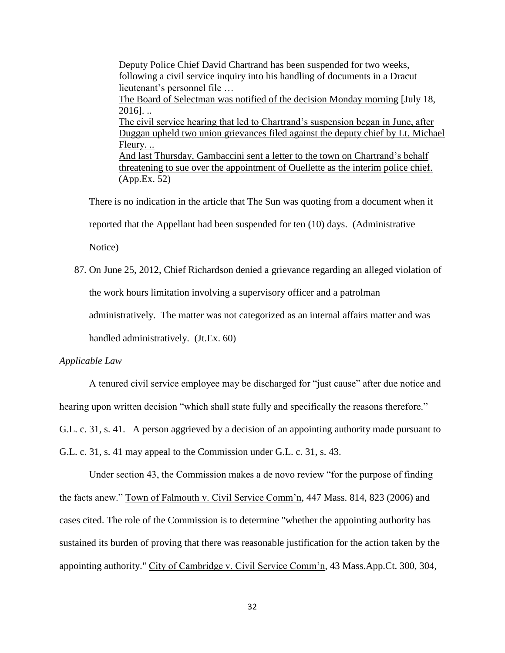Deputy Police Chief David Chartrand has been suspended for two weeks, following a civil service inquiry into his handling of documents in a Dracut lieutenant's personnel file … The Board of Selectman was notified of the decision Monday morning [July 18,  $2016$ ]. .. The civil service hearing that led to Chartrand's suspension began in June, after Duggan upheld two union grievances filed against the deputy chief by Lt. Michael Fleury. .. And last Thursday, Gambaccini sent a letter to the town on Chartrand's behalf threatening to sue over the appointment of Ouellette as the interim police chief. (App.Ex. 52)

There is no indication in the article that The Sun was quoting from a document when it reported that the Appellant had been suspended for ten (10) days. (Administrative Notice)

87. On June 25, 2012, Chief Richardson denied a grievance regarding an alleged violation of the work hours limitation involving a supervisory officer and a patrolman administratively. The matter was not categorized as an internal affairs matter and was handled administratively. (Jt.Ex. 60)

### *Applicable Law*

A tenured civil service employee may be discharged for "just cause" after due notice and hearing upon written decision "which shall state fully and specifically the reasons therefore." G.L. c. 31, s. 41. A person aggrieved by a decision of an appointing authority made pursuant to G.L. c. 31, s. 41 may appeal to the Commission under G.L. c. 31, s. 43.

Under section 43, the Commission makes a de novo review "for the purpose of finding the facts anew." Town of Falmouth v. Civil Service Comm'n, 447 Mass. 814, 823 (2006) and cases cited. The role of the Commission is to determine "whether the appointing authority has sustained its burden of proving that there was reasonable justification for the action taken by the appointing authority." City of Cambridge v. Civil Service Comm'n, 43 Mass.App.Ct. 300, 304,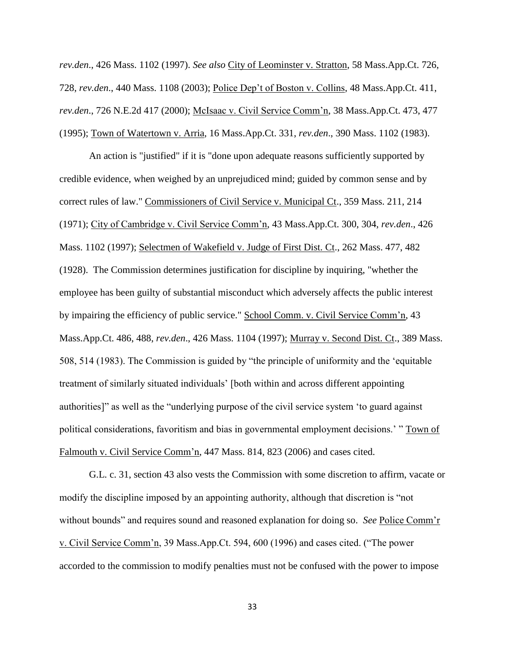*rev.den*., 426 Mass. 1102 (1997). *See also* City of Leominster v. Stratton, 58 Mass.App.Ct. 726, 728, *rev.den*., 440 Mass. 1108 (2003); Police Dep't of Boston v. Collins, 48 Mass.App.Ct. 411, *rev.den*., 726 N.E.2d 417 (2000); McIsaac v. Civil Service Comm'n, 38 Mass.App.Ct. 473, 477 (1995); Town of Watertown v. Arria, 16 Mass.App.Ct. 331, *rev.den*., 390 Mass. 1102 (1983).

An action is "justified" if it is "done upon adequate reasons sufficiently supported by credible evidence, when weighed by an unprejudiced mind; guided by common sense and by correct rules of law." Commissioners of Civil Service v. Municipal Ct., 359 Mass. 211, 214 (1971); City of Cambridge v. Civil Service Comm'n, 43 Mass.App.Ct. 300, 304, *rev.den*., 426 Mass. 1102 (1997); Selectmen of Wakefield v. Judge of First Dist. Ct., 262 Mass. 477, 482 (1928). The Commission determines justification for discipline by inquiring, "whether the employee has been guilty of substantial misconduct which adversely affects the public interest by impairing the efficiency of public service." School Comm. v. Civil Service Comm'n, 43 Mass.App.Ct. 486, 488, *rev.den*., 426 Mass. 1104 (1997); Murray v. Second Dist. Ct., 389 Mass. 508, 514 (1983). The Commission is guided by "the principle of uniformity and the 'equitable treatment of similarly situated individuals' [both within and across different appointing authorities]" as well as the "underlying purpose of the civil service system 'to guard against political considerations, favoritism and bias in governmental employment decisions.' " Town of Falmouth v. Civil Service Comm'n, 447 Mass. 814, 823 (2006) and cases cited.

G.L. c. 31, section 43 also vests the Commission with some discretion to affirm, vacate or modify the discipline imposed by an appointing authority, although that discretion is "not without bounds" and requires sound and reasoned explanation for doing so. *See* Police Comm'r v. Civil Service Comm'n, 39 Mass.App.Ct. 594, 600 (1996) and cases cited. ("The power accorded to the commission to modify penalties must not be confused with the power to impose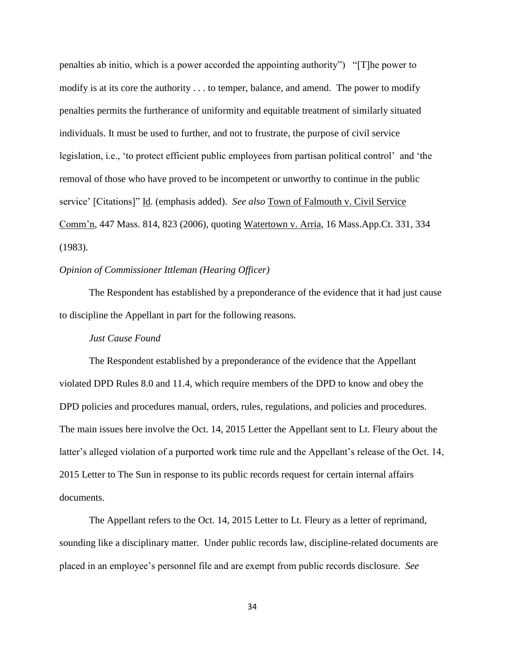penalties ab initio, which is a power accorded the appointing authority") "[T]he power to modify is at its core the authority . . . to temper, balance, and amend. The power to modify penalties permits the furtherance of uniformity and equitable treatment of similarly situated individuals. It must be used to further, and not to frustrate, the purpose of civil service legislation, i.e., 'to protect efficient public employees from partisan political control' and 'the removal of those who have proved to be incompetent or unworthy to continue in the public service' [Citations]" Id. (emphasis added). *See also* Town of Falmouth v. Civil Service Comm'n, 447 Mass. 814, 823 (2006), quoting Watertown v. Arria, 16 Mass.App.Ct. 331, 334 (1983).

## *Opinion of Commissioner Ittleman (Hearing Officer)*

The Respondent has established by a preponderance of the evidence that it had just cause to discipline the Appellant in part for the following reasons.

### *Just Cause Found*

The Respondent established by a preponderance of the evidence that the Appellant violated DPD Rules 8.0 and 11.4, which require members of the DPD to know and obey the DPD policies and procedures manual, orders, rules, regulations, and policies and procedures. The main issues here involve the Oct. 14, 2015 Letter the Appellant sent to Lt. Fleury about the latter's alleged violation of a purported work time rule and the Appellant's release of the Oct. 14, 2015 Letter to The Sun in response to its public records request for certain internal affairs documents.

The Appellant refers to the Oct. 14, 2015 Letter to Lt. Fleury as a letter of reprimand, sounding like a disciplinary matter. Under public records law, discipline-related documents are placed in an employee's personnel file and are exempt from public records disclosure. *See*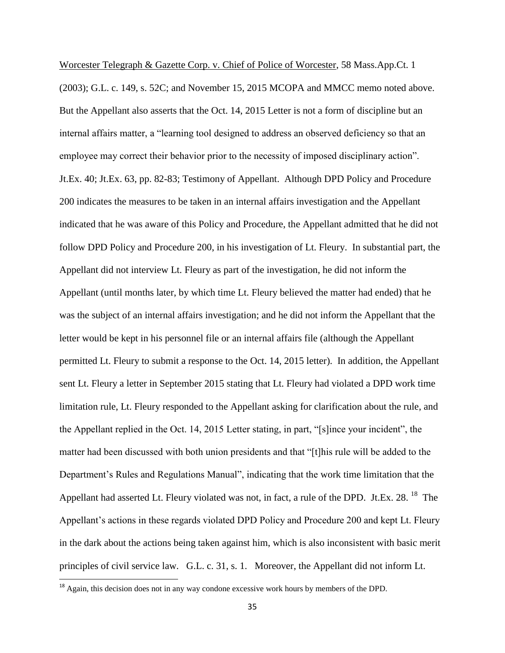Worcester Telegraph & Gazette Corp. v. Chief of Police of Worcester, 58 Mass.App.Ct. 1 (2003); G.L. c. 149, s. 52C; and November 15, 2015 MCOPA and MMCC memo noted above. But the Appellant also asserts that the Oct. 14, 2015 Letter is not a form of discipline but an internal affairs matter, a "learning tool designed to address an observed deficiency so that an employee may correct their behavior prior to the necessity of imposed disciplinary action". Jt.Ex. 40; Jt.Ex. 63, pp. 82-83; Testimony of Appellant. Although DPD Policy and Procedure 200 indicates the measures to be taken in an internal affairs investigation and the Appellant indicated that he was aware of this Policy and Procedure, the Appellant admitted that he did not follow DPD Policy and Procedure 200, in his investigation of Lt. Fleury. In substantial part, the Appellant did not interview Lt. Fleury as part of the investigation, he did not inform the Appellant (until months later, by which time Lt. Fleury believed the matter had ended) that he was the subject of an internal affairs investigation; and he did not inform the Appellant that the letter would be kept in his personnel file or an internal affairs file (although the Appellant permitted Lt. Fleury to submit a response to the Oct. 14, 2015 letter). In addition, the Appellant sent Lt. Fleury a letter in September 2015 stating that Lt. Fleury had violated a DPD work time limitation rule, Lt. Fleury responded to the Appellant asking for clarification about the rule, and the Appellant replied in the Oct. 14, 2015 Letter stating, in part, "[s]ince your incident", the matter had been discussed with both union presidents and that "[t]his rule will be added to the Department's Rules and Regulations Manual", indicating that the work time limitation that the Appellant had asserted Lt. Fleury violated was not, in fact, a rule of the DPD. Jt.Ex. 28. <sup>18</sup> The Appellant's actions in these regards violated DPD Policy and Procedure 200 and kept Lt. Fleury in the dark about the actions being taken against him, which is also inconsistent with basic merit principles of civil service law. G.L. c. 31, s. 1. Moreover, the Appellant did not inform Lt.

 $\overline{\phantom{a}}$ 

<sup>&</sup>lt;sup>18</sup> Again, this decision does not in any way condone excessive work hours by members of the DPD.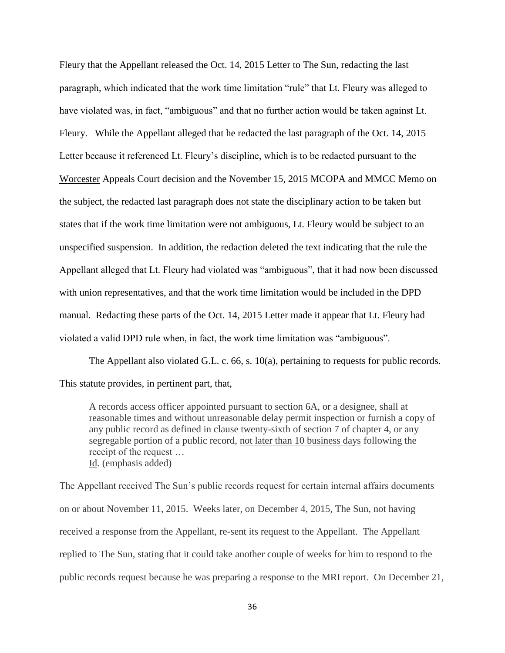Fleury that the Appellant released the Oct. 14, 2015 Letter to The Sun, redacting the last paragraph, which indicated that the work time limitation "rule" that Lt. Fleury was alleged to have violated was, in fact, "ambiguous" and that no further action would be taken against Lt. Fleury. While the Appellant alleged that he redacted the last paragraph of the Oct. 14, 2015 Letter because it referenced Lt. Fleury's discipline, which is to be redacted pursuant to the Worcester Appeals Court decision and the November 15, 2015 MCOPA and MMCC Memo on the subject, the redacted last paragraph does not state the disciplinary action to be taken but states that if the work time limitation were not ambiguous, Lt. Fleury would be subject to an unspecified suspension. In addition, the redaction deleted the text indicating that the rule the Appellant alleged that Lt. Fleury had violated was "ambiguous", that it had now been discussed with union representatives, and that the work time limitation would be included in the DPD manual. Redacting these parts of the Oct. 14, 2015 Letter made it appear that Lt. Fleury had violated a valid DPD rule when, in fact, the work time limitation was "ambiguous".

The Appellant also violated G.L. c. 66, s. 10(a), pertaining to requests for public records. This statute provides, in pertinent part, that,

A records access officer appointed pursuant to section 6A, or a designee, shall at reasonable times and without unreasonable delay permit inspection or furnish a copy of any public record as defined in clause twenty-sixth of section 7 of chapter 4, or any segregable portion of a public record, not later than 10 business days following the receipt of the request … Id. (emphasis added)

The Appellant received The Sun's public records request for certain internal affairs documents on or about November 11, 2015. Weeks later, on December 4, 2015, The Sun, not having received a response from the Appellant, re-sent its request to the Appellant. The Appellant replied to The Sun, stating that it could take another couple of weeks for him to respond to the public records request because he was preparing a response to the MRI report. On December 21,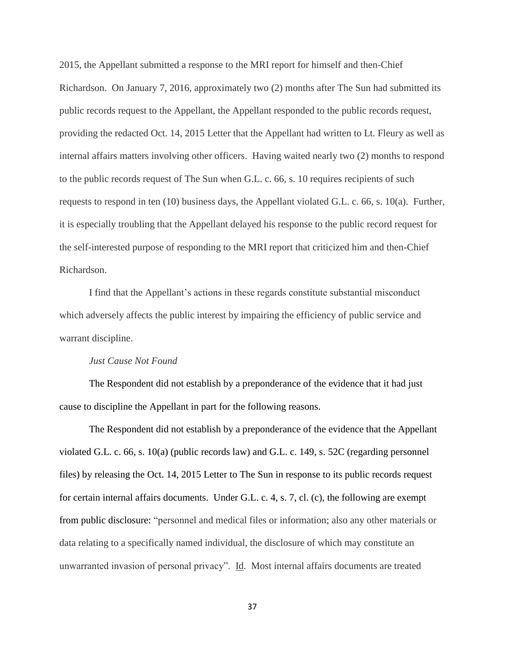2015, the Appellant submitted a response to the MRI report for himself and then-Chief Richardson. On January 7, 2016, approximately two (2) months after The Sun had submitted its public records request to the Appellant, the Appellant responded to the public records request, providing the redacted Oct. 14, 2015 Letter that the Appellant had written to Lt. Fleury as well as internal affairs matters involving other officers. Having waited nearly two (2) months to respond to the public records request of The Sun when G.L. c. 66, s. 10 requires recipients of such requests to respond in ten (10) business days, the Appellant violated G.L. c. 66, s. 10(a). Further, it is especially troubling that the Appellant delayed his response to the public record request for the self-interested purpose of responding to the MRI report that criticized him and then-Chief Richardson.

I find that the Appellant's actions in these regards constitute substantial misconduct which adversely affects the public interest by impairing the efficiency of public service and warrant discipline.

### *Just Cause Not Found*

The Respondent did not establish by a preponderance of the evidence that it had just cause to discipline the Appellant in part for the following reasons.

The Respondent did not establish by a preponderance of the evidence that the Appellant violated G.L. c. 66, s. 10(a) (public records law) and G.L. c. 149, s. 52C (regarding personnel files) by releasing the Oct. 14, 2015 Letter to The Sun in response to its public records request for certain internal affairs documents. Under G.L. c. 4, s. 7, cl. (c), the following are exempt from public disclosure: "personnel and medical files or information; also any other materials or data relating to a specifically named individual, the disclosure of which may constitute an unwarranted invasion of personal privacy". Id. Most internal affairs documents are treated

37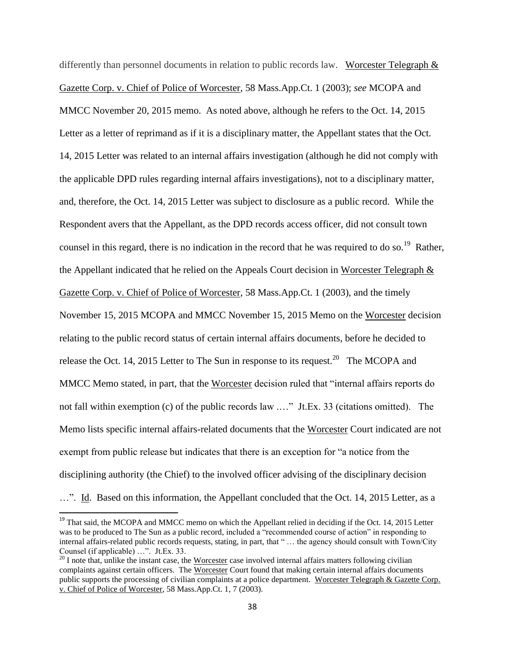differently than personnel documents in relation to public records law. Worcester Telegraph  $\&$ Gazette Corp. v. Chief of Police of Worcester, 58 Mass.App.Ct. 1 (2003); *see* MCOPA and MMCC November 20, 2015 memo. As noted above, although he refers to the Oct. 14, 2015 Letter as a letter of reprimand as if it is a disciplinary matter, the Appellant states that the Oct. 14, 2015 Letter was related to an internal affairs investigation (although he did not comply with the applicable DPD rules regarding internal affairs investigations), not to a disciplinary matter, and, therefore, the Oct. 14, 2015 Letter was subject to disclosure as a public record. While the Respondent avers that the Appellant, as the DPD records access officer, did not consult town counsel in this regard, there is no indication in the record that he was required to do so.<sup>19</sup> Rather, the Appellant indicated that he relied on the Appeals Court decision in Worcester Telegraph & Gazette Corp. v. Chief of Police of Worcester, 58 Mass.App.Ct. 1 (2003), and the timely November 15, 2015 MCOPA and MMCC November 15, 2015 Memo on the Worcester decision relating to the public record status of certain internal affairs documents, before he decided to release the Oct. 14, 2015 Letter to The Sun in response to its request.<sup>20</sup> The MCOPA and MMCC Memo stated, in part, that the Worcester decision ruled that "internal affairs reports do not fall within exemption (c) of the public records law .…" Jt.Ex. 33 (citations omitted). The Memo lists specific internal affairs-related documents that the Worcester Court indicated are not exempt from public release but indicates that there is an exception for "a notice from the disciplining authority (the Chief) to the involved officer advising of the disciplinary decision …". Id. Based on this information, the Appellant concluded that the Oct. 14, 2015 Letter, as a

l

<sup>&</sup>lt;sup>19</sup> That said, the MCOPA and MMCC memo on which the Appellant relied in deciding if the Oct. 14, 2015 Letter was to be produced to The Sun as a public record, included a "recommended course of action" in responding to internal affairs-related public records requests, stating, in part, that " … the agency should consult with Town/City Counsel (if applicable) …". Jt.Ex. 33.

 $^{20}$  I note that, unlike the instant case, the Worcester case involved internal affairs matters following civilian complaints against certain officers. The Worcester Court found that making certain internal affairs documents public supports the processing of civilian complaints at a police department. Worcester Telegraph & Gazette Corp. v. Chief of Police of Worcester, 58 Mass.App.Ct. 1, 7 (2003).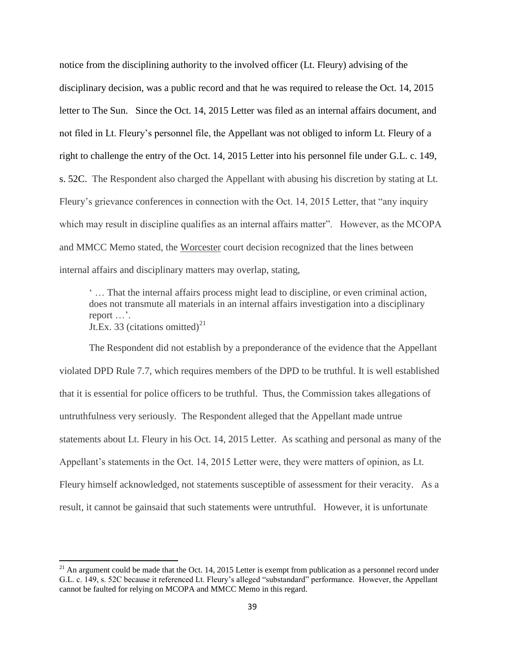notice from the disciplining authority to the involved officer (Lt. Fleury) advising of the disciplinary decision, was a public record and that he was required to release the Oct. 14, 2015 letter to The Sun. Since the Oct. 14, 2015 Letter was filed as an internal affairs document, and not filed in Lt. Fleury's personnel file, the Appellant was not obliged to inform Lt. Fleury of a right to challenge the entry of the Oct. 14, 2015 Letter into his personnel file under G.L. c. 149, s. 52C. The Respondent also charged the Appellant with abusing his discretion by stating at Lt. Fleury's grievance conferences in connection with the Oct. 14, 2015 Letter, that "any inquiry which may result in discipline qualifies as an internal affairs matter". However, as the MCOPA and MMCC Memo stated, the Worcester court decision recognized that the lines between internal affairs and disciplinary matters may overlap, stating,

' … That the internal affairs process might lead to discipline, or even criminal action, does not transmute all materials in an internal affairs investigation into a disciplinary report …'. Jt.Ex. 33 (citations omitted)<sup>21</sup>

The Respondent did not establish by a preponderance of the evidence that the Appellant violated DPD Rule 7.7, which requires members of the DPD to be truthful. It is well established that it is essential for police officers to be truthful. Thus, the Commission takes allegations of untruthfulness very seriously. The Respondent alleged that the Appellant made untrue statements about Lt. Fleury in his Oct. 14, 2015 Letter. As scathing and personal as many of the Appellant's statements in the Oct. 14, 2015 Letter were, they were matters of opinion, as Lt. Fleury himself acknowledged, not statements susceptible of assessment for their veracity. As a result, it cannot be gainsaid that such statements were untruthful. However, it is unfortunate

 $\overline{\phantom{a}}$ 

 $21$  An argument could be made that the Oct. 14, 2015 Letter is exempt from publication as a personnel record under G.L. c. 149, s. 52C because it referenced Lt. Fleury's alleged "substandard" performance. However, the Appellant cannot be faulted for relying on MCOPA and MMCC Memo in this regard.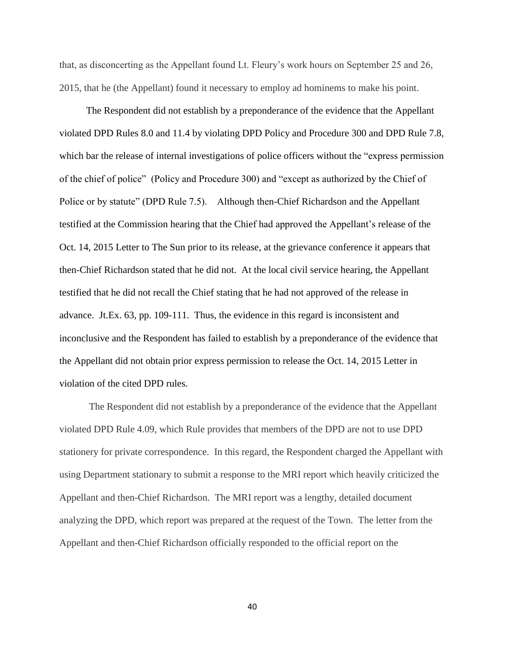that, as disconcerting as the Appellant found Lt. Fleury's work hours on September 25 and 26, 2015, that he (the Appellant) found it necessary to employ ad hominems to make his point.

The Respondent did not establish by a preponderance of the evidence that the Appellant violated DPD Rules 8.0 and 11.4 by violating DPD Policy and Procedure 300 and DPD Rule 7.8, which bar the release of internal investigations of police officers without the "express permission of the chief of police" (Policy and Procedure 300) and "except as authorized by the Chief of Police or by statute" (DPD Rule 7.5). Although then-Chief Richardson and the Appellant testified at the Commission hearing that the Chief had approved the Appellant's release of the Oct. 14, 2015 Letter to The Sun prior to its release, at the grievance conference it appears that then-Chief Richardson stated that he did not. At the local civil service hearing, the Appellant testified that he did not recall the Chief stating that he had not approved of the release in advance. Jt.Ex. 63, pp. 109-111. Thus, the evidence in this regard is inconsistent and inconclusive and the Respondent has failed to establish by a preponderance of the evidence that the Appellant did not obtain prior express permission to release the Oct. 14, 2015 Letter in violation of the cited DPD rules.

The Respondent did not establish by a preponderance of the evidence that the Appellant violated DPD Rule 4.09, which Rule provides that members of the DPD are not to use DPD stationery for private correspondence. In this regard, the Respondent charged the Appellant with using Department stationary to submit a response to the MRI report which heavily criticized the Appellant and then-Chief Richardson. The MRI report was a lengthy, detailed document analyzing the DPD, which report was prepared at the request of the Town. The letter from the Appellant and then-Chief Richardson officially responded to the official report on the

40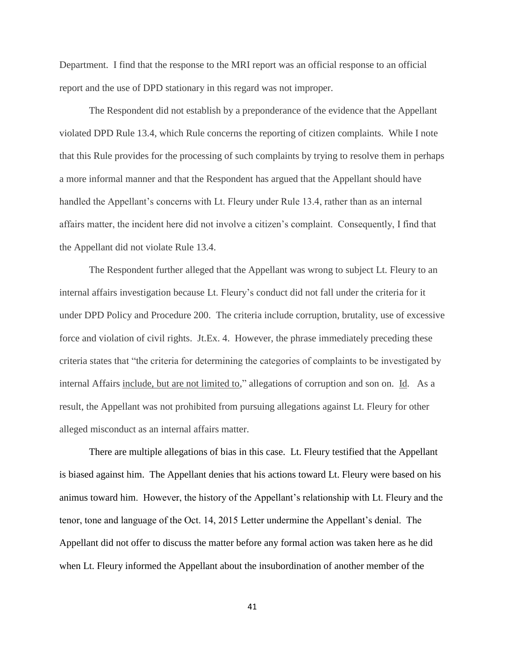Department. I find that the response to the MRI report was an official response to an official report and the use of DPD stationary in this regard was not improper.

The Respondent did not establish by a preponderance of the evidence that the Appellant violated DPD Rule 13.4, which Rule concerns the reporting of citizen complaints. While I note that this Rule provides for the processing of such complaints by trying to resolve them in perhaps a more informal manner and that the Respondent has argued that the Appellant should have handled the Appellant's concerns with Lt. Fleury under Rule 13.4, rather than as an internal affairs matter, the incident here did not involve a citizen's complaint. Consequently, I find that the Appellant did not violate Rule 13.4.

The Respondent further alleged that the Appellant was wrong to subject Lt. Fleury to an internal affairs investigation because Lt. Fleury's conduct did not fall under the criteria for it under DPD Policy and Procedure 200. The criteria include corruption, brutality, use of excessive force and violation of civil rights. Jt.Ex. 4. However, the phrase immediately preceding these criteria states that "the criteria for determining the categories of complaints to be investigated by internal Affairs include, but are not limited to," allegations of corruption and son on. Id. As a result, the Appellant was not prohibited from pursuing allegations against Lt. Fleury for other alleged misconduct as an internal affairs matter.

There are multiple allegations of bias in this case. Lt. Fleury testified that the Appellant is biased against him. The Appellant denies that his actions toward Lt. Fleury were based on his animus toward him. However, the history of the Appellant's relationship with Lt. Fleury and the tenor, tone and language of the Oct. 14, 2015 Letter undermine the Appellant's denial. The Appellant did not offer to discuss the matter before any formal action was taken here as he did when Lt. Fleury informed the Appellant about the insubordination of another member of the

41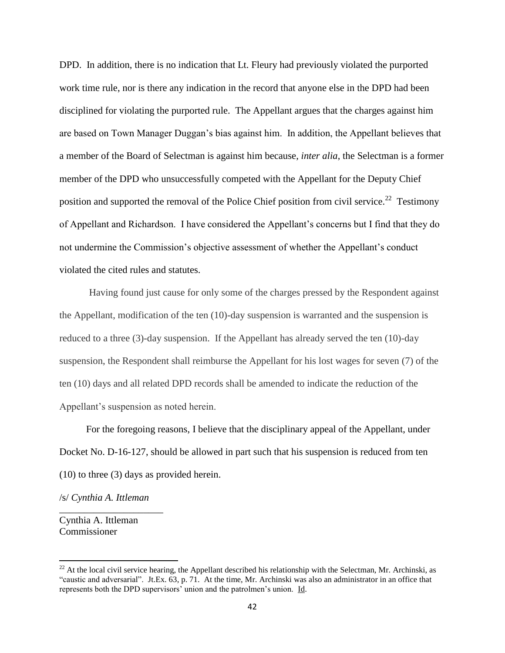DPD. In addition, there is no indication that Lt. Fleury had previously violated the purported work time rule, nor is there any indication in the record that anyone else in the DPD had been disciplined for violating the purported rule. The Appellant argues that the charges against him are based on Town Manager Duggan's bias against him. In addition, the Appellant believes that a member of the Board of Selectman is against him because, *inter alia*, the Selectman is a former member of the DPD who unsuccessfully competed with the Appellant for the Deputy Chief position and supported the removal of the Police Chief position from civil service.<sup>22</sup> Testimony of Appellant and Richardson. I have considered the Appellant's concerns but I find that they do not undermine the Commission's objective assessment of whether the Appellant's conduct violated the cited rules and statutes.

Having found just cause for only some of the charges pressed by the Respondent against the Appellant, modification of the ten (10)-day suspension is warranted and the suspension is reduced to a three (3)-day suspension. If the Appellant has already served the ten (10)-day suspension, the Respondent shall reimburse the Appellant for his lost wages for seven (7) of the ten (10) days and all related DPD records shall be amended to indicate the reduction of the Appellant's suspension as noted herein.

For the foregoing reasons, I believe that the disciplinary appeal of the Appellant, under Docket No. D-16-127, should be allowed in part such that his suspension is reduced from ten (10) to three (3) days as provided herein.

/s/ *Cynthia A. Ittleman*

\_\_\_\_\_\_\_\_\_\_\_\_\_\_\_\_\_\_\_\_\_

Cynthia A. Ittleman Commissioner

 $\overline{\phantom{a}}$ 

 $^{22}$  At the local civil service hearing, the Appellant described his relationship with the Selectman, Mr. Archinski, as "caustic and adversarial". Jt.Ex. 63, p. 71. At the time, Mr. Archinski was also an administrator in an office that represents both the DPD supervisors' union and the patrolmen's union. Id.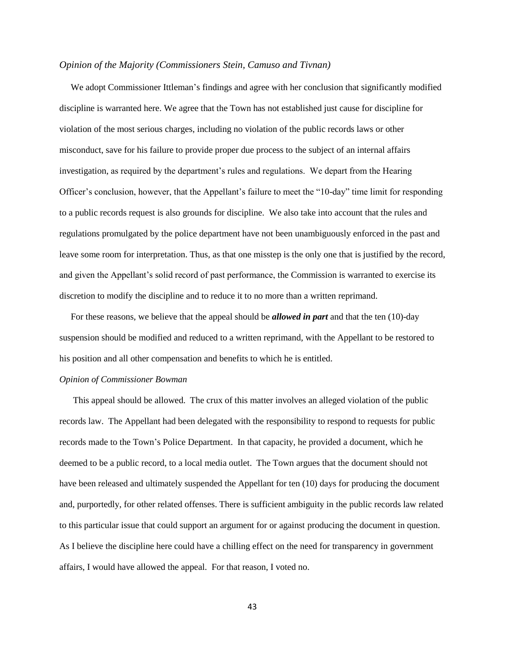### *Opinion of the Majority (Commissioners Stein, Camuso and Tivnan)*

 We adopt Commissioner Ittleman's findings and agree with her conclusion that significantly modified discipline is warranted here. We agree that the Town has not established just cause for discipline for violation of the most serious charges, including no violation of the public records laws or other misconduct, save for his failure to provide proper due process to the subject of an internal affairs investigation, as required by the department's rules and regulations. We depart from the Hearing Officer's conclusion, however, that the Appellant's failure to meet the "10-day" time limit for responding to a public records request is also grounds for discipline. We also take into account that the rules and regulations promulgated by the police department have not been unambiguously enforced in the past and leave some room for interpretation. Thus, as that one misstep is the only one that is justified by the record, and given the Appellant's solid record of past performance, the Commission is warranted to exercise its discretion to modify the discipline and to reduce it to no more than a written reprimand.

 For these reasons, we believe that the appeal should be *allowed in part* and that the ten (10)-day suspension should be modified and reduced to a written reprimand, with the Appellant to be restored to his position and all other compensation and benefits to which he is entitled.

#### *Opinion of Commissioner Bowman*

 This appeal should be allowed. The crux of this matter involves an alleged violation of the public records law. The Appellant had been delegated with the responsibility to respond to requests for public records made to the Town's Police Department. In that capacity, he provided a document, which he deemed to be a public record, to a local media outlet. The Town argues that the document should not have been released and ultimately suspended the Appellant for ten (10) days for producing the document and, purportedly, for other related offenses. There is sufficient ambiguity in the public records law related to this particular issue that could support an argument for or against producing the document in question. As I believe the discipline here could have a chilling effect on the need for transparency in government affairs, I would have allowed the appeal. For that reason, I voted no.

43